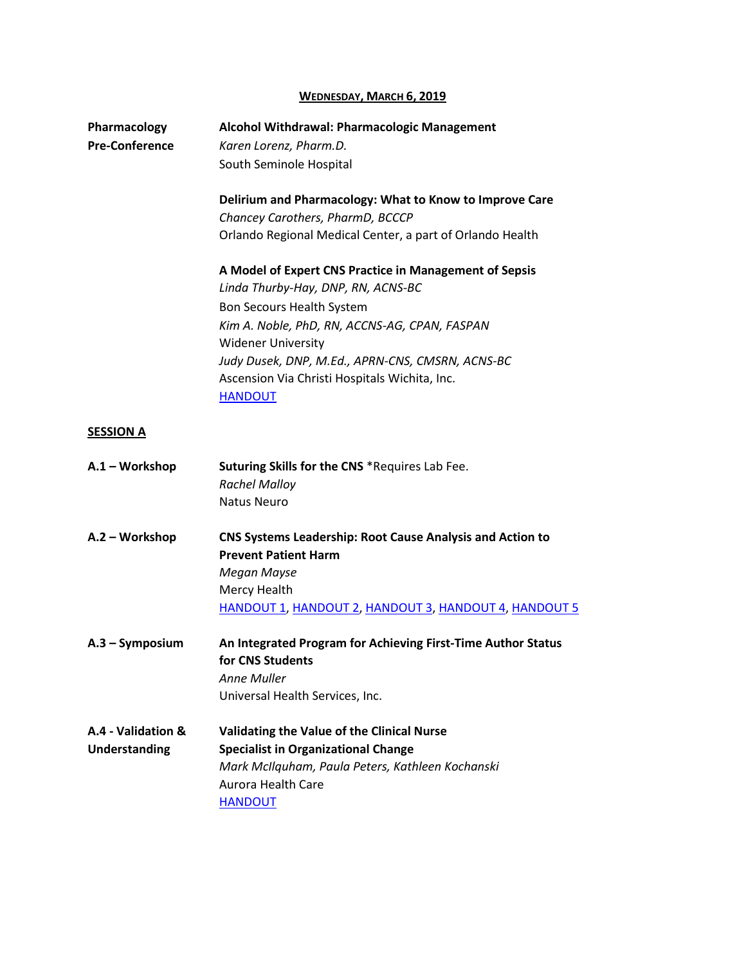### **WEDNESDAY, MARCH 6, 2019**

| Pharmacology<br><b>Pre-Conference</b>      | Alcohol Withdrawal: Pharmacologic Management<br>Karen Lorenz, Pharm.D.<br>South Seminole Hospital                                                                                                                                                                                                                              |
|--------------------------------------------|--------------------------------------------------------------------------------------------------------------------------------------------------------------------------------------------------------------------------------------------------------------------------------------------------------------------------------|
|                                            | Delirium and Pharmacology: What to Know to Improve Care<br>Chancey Carothers, PharmD, BCCCP<br>Orlando Regional Medical Center, a part of Orlando Health                                                                                                                                                                       |
|                                            | A Model of Expert CNS Practice in Management of Sepsis<br>Linda Thurby-Hay, DNP, RN, ACNS-BC<br>Bon Secours Health System<br>Kim A. Noble, PhD, RN, ACCNS-AG, CPAN, FASPAN<br><b>Widener University</b><br>Judy Dusek, DNP, M.Ed., APRN-CNS, CMSRN, ACNS-BC<br>Ascension Via Christi Hospitals Wichita, Inc.<br><b>HANDOUT</b> |
| <b>SESSION A</b>                           |                                                                                                                                                                                                                                                                                                                                |
| A.1 - Workshop                             | Suturing Skills for the CNS *Requires Lab Fee.<br><b>Rachel Malloy</b><br><b>Natus Neuro</b>                                                                                                                                                                                                                                   |
| A.2 - Workshop                             | <b>CNS Systems Leadership: Root Cause Analysis and Action to</b><br><b>Prevent Patient Harm</b><br>Megan Mayse<br>Mercy Health<br>HANDOUT 1, HANDOUT 2, HANDOUT 3, HANDOUT 4, HANDOUT 5                                                                                                                                        |
| $A.3 - Symposition$                        | An Integrated Program for Achieving First-Time Author Status<br>for CNS Students<br>Anne Muller<br>Universal Health Services, Inc.                                                                                                                                                                                             |
| A.4 - Validation &<br><b>Understanding</b> | Validating the Value of the Clinical Nurse<br><b>Specialist in Organizational Change</b><br>Mark McIlquham, Paula Peters, Kathleen Kochanski<br>Aurora Health Care<br><b>HANDOUT</b>                                                                                                                                           |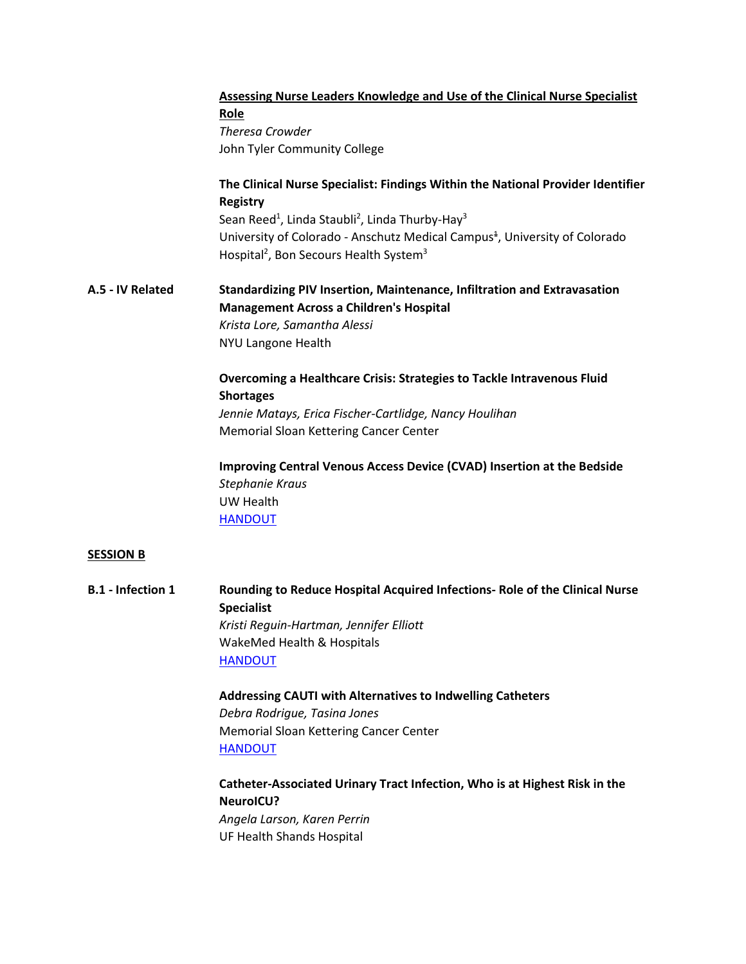|                          | <b>Assessing Nurse Leaders Knowledge and Use of the Clinical Nurse Specialist</b><br>Role<br><b>Theresa Crowder</b><br>John Tyler Community College      |
|--------------------------|----------------------------------------------------------------------------------------------------------------------------------------------------------|
|                          | The Clinical Nurse Specialist: Findings Within the National Provider Identifier                                                                          |
|                          | <b>Registry</b><br>Sean Reed <sup>1</sup> , Linda Staubli <sup>2</sup> , Linda Thurby-Hay <sup>3</sup>                                                   |
|                          | University of Colorado - Anschutz Medical Campus <sup>+</sup> , University of Colorado<br>Hospital <sup>2</sup> , Bon Secours Health System <sup>3</sup> |
| A.5 - IV Related         | Standardizing PIV Insertion, Maintenance, Infiltration and Extravasation<br><b>Management Across a Children's Hospital</b>                               |
|                          | Krista Lore, Samantha Alessi                                                                                                                             |
|                          | NYU Langone Health                                                                                                                                       |
|                          | Overcoming a Healthcare Crisis: Strategies to Tackle Intravenous Fluid<br><b>Shortages</b>                                                               |
|                          | Jennie Matays, Erica Fischer-Cartlidge, Nancy Houlihan                                                                                                   |
|                          | Memorial Sloan Kettering Cancer Center                                                                                                                   |
|                          | Improving Central Venous Access Device (CVAD) Insertion at the Bedside<br>Stephanie Kraus                                                                |
|                          | UW Health                                                                                                                                                |
|                          | <b>HANDOUT</b>                                                                                                                                           |
| <b>SESSION B</b>         |                                                                                                                                                          |
| <b>B.1 - Infection 1</b> | Rounding to Reduce Hospital Acquired Infections- Role of the Clinical Nurse<br><b>Specialist</b>                                                         |
|                          | Kristi Reguin-Hartman, Jennifer Elliott                                                                                                                  |
|                          | WakeMed Health & Hospitals                                                                                                                               |
|                          | <b>HANDOUT</b>                                                                                                                                           |
|                          | Addressing CAUTI with Alternatives to Indwelling Catheters                                                                                               |
|                          | Debra Rodrigue, Tasina Jones                                                                                                                             |
|                          | Memorial Sloan Kettering Cancer Center                                                                                                                   |

**[HANDOUT](https://www.dropbox.com/preview/2019%20Annual%20Conference/Final%20Presentations/B1%20-%20Debra%20Rodrigue.pdf?role=personal)** 

**Catheter-Associated Urinary Tract Infection, Who is at Highest Risk in the NeuroICU?** *Angela Larson, Karen Perrin* UF Health Shands Hospital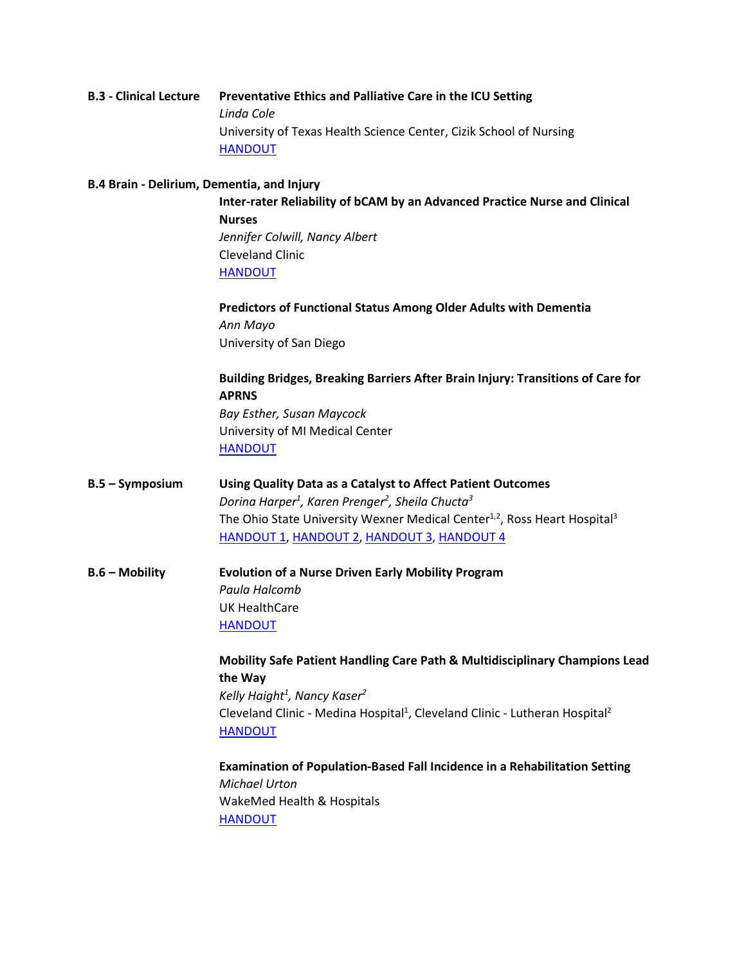### **B.3 - Clinical Lecture Preventative Ethics and Palliative Care in the ICU Setting** *Linda Cole* University of Texas Health Science Center, Cizik School of Nursing [HANDOUT](https://www.dropbox.com/preview/2019%20Annual%20Conference/Final%20Presentations/B3%20-%20Linda%20Cole.pdf?role=personal)

### **B.4 Brain - Delirium, Dementia, and Injury**

**Inter-rater Reliability of bCAM by an Advanced Practice Nurse and Clinical Nurses** *Jennifer Colwill, Nancy Albert* Cleveland Clinic [HANDOUT](https://www.dropbox.com/preview/2019%20Annual%20Conference/Final%20Presentations/B4%20-%20Jennifer%20Colwill.pdf?role=personal)

**Predictors of Functional Status Among Older Adults with Dementia** *Ann Mayo* University of San Diego

**Building Bridges, Breaking Barriers After Brain Injury: Transitions of Care for APRNS** *Bay Esther, Susan Maycock* University of MI Medical Center [HANDOUT](https://www.dropbox.com/preview/2019%20Annual%20Conference/Final%20Presentations/B4%20-%20Esther%20Bay.pdf?role=personal)

**B.5 – Symposium Using Quality Data as a Catalyst to Affect Patient Outcomes** *Dorina Harper1 , Karen Prenger2 , Sheila Chucta3* The Ohio State University Wexner Medical Center<sup>1,2</sup>, Ross Heart Hospital<sup>3</sup> [HANDOUT 1,](https://www.dropbox.com/s/6y6m7b7bog4mjah/B5%20-%20Harper%2C%20Chucta%2C%20Prenger%20%281%29.pdf?dl=0) [HANDOUT 2,](https://www.dropbox.com/s/uz44h9b0kwxzjnw/B5%20-%20Harper%2C%20Chucta%2C%20Prenger%20%282%29.pdf?dl=0) [HANDOUT 3,](https://www.dropbox.com/s/pa6ilnqcfw9aj7k/B5%20-%20Harper%2C%20Chucta%2C%20Prenger%20%283%29.pdf?dl=0) [HANDOUT 4](https://www.dropbox.com/s/tk3b695hwv4n8f3/B5%20-%20Harper%2C%20Chucta%2C%20Prenger%20%284%29.pdf?dl=0)

**B.6 – Mobility Evolution of a Nurse Driven Early Mobility Program** *Paula Halcomb* UK HealthCare [HANDOUT](https://www.dropbox.com/preview/2019%20Annual%20Conference/Final%20Presentations/B6%20-%20Paula%20Halcomb.pdf?role=personal)

> **Mobility Safe Patient Handling Care Path & Multidisciplinary Champions Lead the Way** *Kelly Haight1 , Nancy Kaser2* Cleveland Clinic - Medina Hospital<sup>1</sup>, Cleveland Clinic - Lutheran Hospital<sup>2</sup> [HANDOUT](https://www.dropbox.com/s/pvy0jw7pv5kymta/B6%20-%20Haight%2C%20Kelly.pdf?dl=0)

**Examination of Population-Based Fall Incidence in a Rehabilitation Setting** *Michael Urton* WakeMed Health & Hospitals [HANDOUT](https://www.dropbox.com/s/4k2pfa33030vjf9/B6%20-%20Urton%2C%20Michael.pdf?dl=0)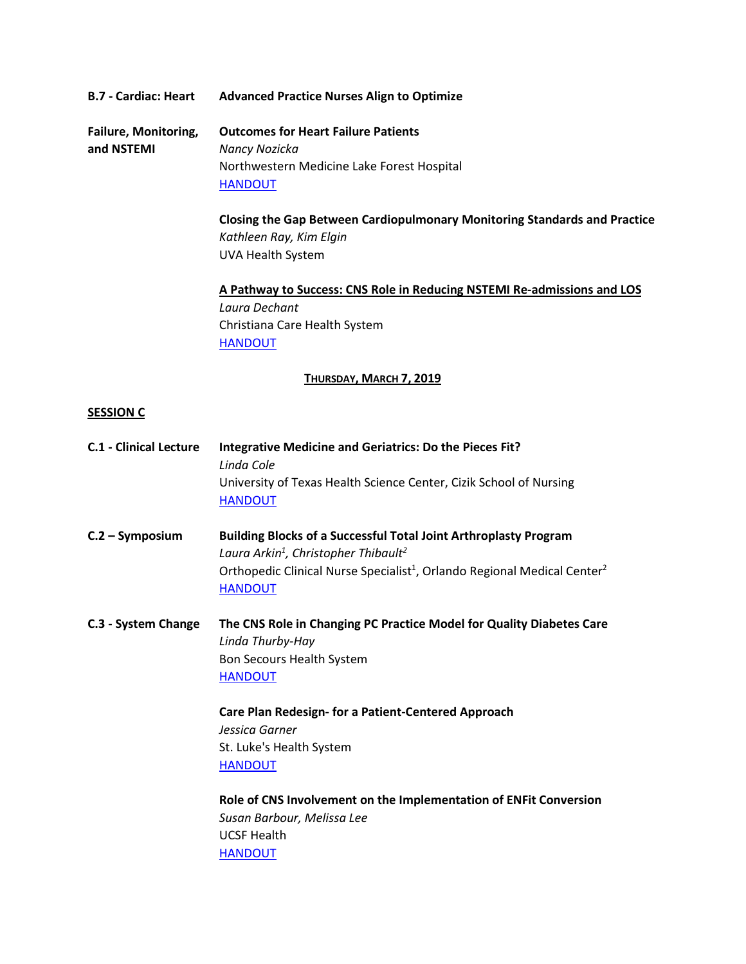### **B.7 - Cardiac: Heart Advanced Practice Nurses Align to Optimize**

**Failure, Monitoring, Outcomes for Heart Failure Patients and NSTEMI** *Nancy Nozicka* Northwestern Medicine Lake Forest Hospital **[HANDOUT](https://www.dropbox.com/preview/2019%20Annual%20Conference/Final%20Presentations/B7%20-%20Nancy%20Nozicka.pdf?role=personal)** 

> **Closing the Gap Between Cardiopulmonary Monitoring Standards and Practice** *Kathleen Ray, Kim Elgin* UVA Health System

**A Pathway to Success: CNS Role in Reducing NSTEMI Re-admissions and LOS** *Laura Dechant* Christiana Care Health System [HANDOUT](https://www.dropbox.com/s/hyn5qln0thnhryw/B7%20-%20Dechant%2C%20Laura%20%28PPT%20Notes%29.pdf?dl=0)

#### **THURSDAY, MARCH 7, 2019**

#### **SESSION C**

| <b>C.1 - Clinical Lecture</b> | <b>Integrative Medicine and Geriatrics: Do the Pieces Fit?</b><br>Linda Cole<br>University of Texas Health Science Center, Cizik School of Nursing<br><b>HANDOUT</b>                                                                                          |
|-------------------------------|---------------------------------------------------------------------------------------------------------------------------------------------------------------------------------------------------------------------------------------------------------------|
| $C.2 - Symposition$           | <b>Building Blocks of a Successful Total Joint Arthroplasty Program</b><br>Laura Arkin <sup>1</sup> , Christopher Thibault <sup>2</sup><br>Orthopedic Clinical Nurse Specialist <sup>1</sup> , Orlando Regional Medical Center <sup>2</sup><br><b>HANDOUT</b> |
| C.3 - System Change           | The CNS Role in Changing PC Practice Model for Quality Diabetes Care<br>Linda Thurby-Hay<br>Bon Secours Health System<br><b>HANDOUT</b><br>Care Plan Redesign- for a Patient-Centered Approach                                                                |
|                               | Jessica Garner<br>St. Luke's Health System<br><b>HANDOUT</b>                                                                                                                                                                                                  |
|                               | Role of CNS Involvement on the Implementation of ENFit Conversion<br>Susan Barbour, Melissa Lee<br><b>UCSF Health</b><br><b>HANDOUT</b>                                                                                                                       |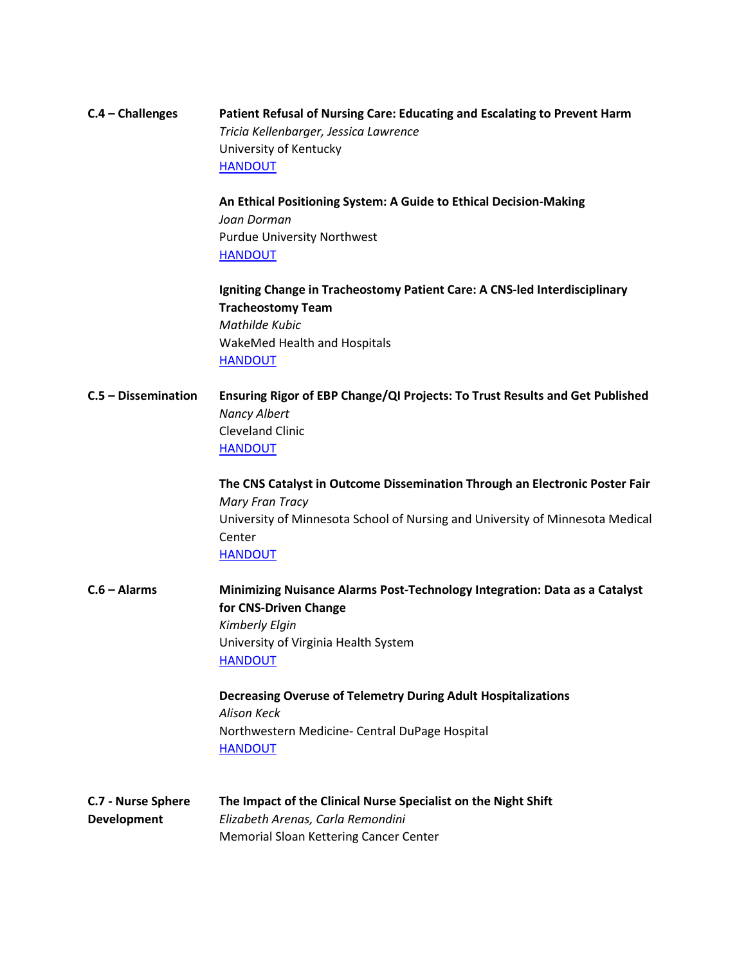### **C.4 – Challenges Patient Refusal of Nursing Care: Educating and Escalating to Prevent Harm** *Tricia Kellenbarger, Jessica Lawrence* University of Kentucky [HANDOUT](https://www.dropbox.com/preview/2019%20Annual%20Conference/Final%20Presentations/C4%20-%20Tricia%20Kellenbarger.pdf?role=personal)

**An Ethical Positioning System: A Guide to Ethical Decision-Making** *Joan Dorman* Purdue University Northwest **[HANDOUT](https://www.dropbox.com/s/fsmo17s82xzozss/C4%20-%20Dorman%2C%20Joan.pdf?dl=0)** 

**Igniting Change in Tracheostomy Patient Care: A CNS-led Interdisciplinary Tracheostomy Team** *Mathilde Kubic* WakeMed Health and Hospitals **[HANDOUT](https://www.dropbox.com/preview/2019%20Annual%20Conference/Final%20Presentations/C4%20-%20Mathilde%20Kubic.pdf?role=personal)** 

**C.5 – Dissemination Ensuring Rigor of EBP Change/QI Projects: To Trust Results and Get Published** *Nancy Albert* Cleveland Clinic [HANDOUT](https://www.dropbox.com/preview/2019%20Annual%20Conference/Final%20Presentations/C5%20-%20Nancy%20Albert.pdf?role=personal)

> **The CNS Catalyst in Outcome Dissemination Through an Electronic Poster Fair** *Mary Fran Tracy* University of Minnesota School of Nursing and University of Minnesota Medical **Center** [HANDOUT](https://www.dropbox.com/preview/2019%20Annual%20Conference/Final%20Presentations/C5%20-%20Mary%20Fran%20Tracy.pdf?role=personal)

**C.6 – Alarms Minimizing Nuisance Alarms Post-Technology Integration: Data as a Catalyst for CNS-Driven Change** *Kimberly Elgin* University of Virginia Health System [HANDOUT](https://www.dropbox.com/preview/2019%20Annual%20Conference/Final%20Presentations/C6%20-%20Kim%20Elgin.pdf?role=personal)

> **Decreasing Overuse of Telemetry During Adult Hospitalizations** *Alison Keck* Northwestern Medicine- Central DuPage Hospital [HANDOUT](https://www.dropbox.com/preview/2019%20Annual%20Conference/Final%20Presentations/C6%20-%20Alison%20Keck.pdf?role=personal)

**C.7 - Nurse Sphere The Impact of the Clinical Nurse Specialist on the Night Shift Development** *Elizabeth Arenas, Carla Remondini* Memorial Sloan Kettering Cancer Center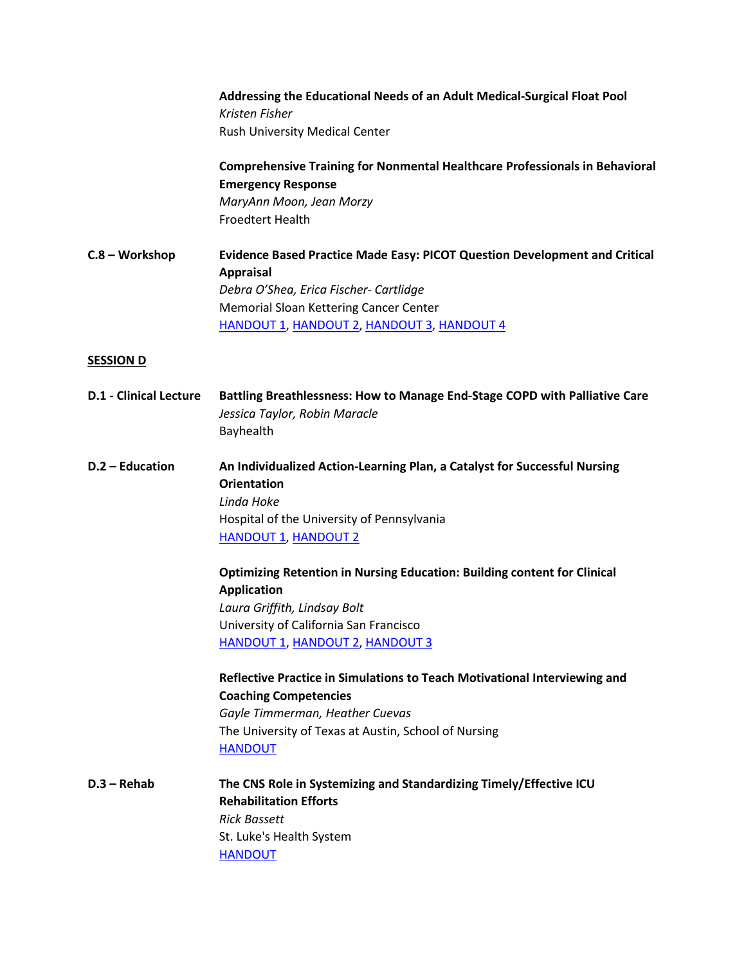|                               | Addressing the Educational Needs of an Adult Medical-Surgical Float Pool<br>Kristen Fisher<br>Rush University Medical Center                                                                                                            |
|-------------------------------|-----------------------------------------------------------------------------------------------------------------------------------------------------------------------------------------------------------------------------------------|
|                               | <b>Comprehensive Training for Nonmental Healthcare Professionals in Behavioral</b><br><b>Emergency Response</b><br>MaryAnn Moon, Jean Morzy<br><b>Froedtert Health</b>                                                                  |
| C.8 - Workshop                | Evidence Based Practice Made Easy: PICOT Question Development and Critical<br><b>Appraisal</b><br>Debra O'Shea, Erica Fischer- Cartlidge<br>Memorial Sloan Kettering Cancer Center<br><b>HANDOUT 1, HANDOUT 2, HANDOUT 3, HANDOUT 4</b> |
| <b>SESSION D</b>              |                                                                                                                                                                                                                                         |
| <b>D.1 - Clinical Lecture</b> | Battling Breathlessness: How to Manage End-Stage COPD with Palliative Care<br>Jessica Taylor, Robin Maracle<br>Bayhealth                                                                                                                |
| D.2 - Education               | An Individualized Action-Learning Plan, a Catalyst for Successful Nursing<br><b>Orientation</b><br>Linda Hoke<br>Hospital of the University of Pennsylvania<br><b>HANDOUT 1, HANDOUT 2</b>                                              |
|                               | <b>Optimizing Retention in Nursing Education: Building content for Clinical</b><br><b>Application</b><br>Laura Griffith, Lindsay Bolt<br>University of California San Francisco<br><b>HANDOUT 1, HANDOUT 2, HANDOUT 3</b>               |
|                               | Reflective Practice in Simulations to Teach Motivational Interviewing and<br><b>Coaching Competencies</b><br>Gayle Timmerman, Heather Cuevas<br>The University of Texas at Austin, School of Nursing<br><b>HANDOUT</b>                  |
| $D.3 - Rehab$                 | The CNS Role in Systemizing and Standardizing Timely/Effective ICU                                                                                                                                                                      |

**Rehabilitation Efforts** *Rick Bassett* St. Luke's Health System [HANDOUT](https://www.dropbox.com/preview/2019%20Annual%20Conference/Final%20Presentations/D3%20-%20Rick%20Bassett.pdf?role=personal)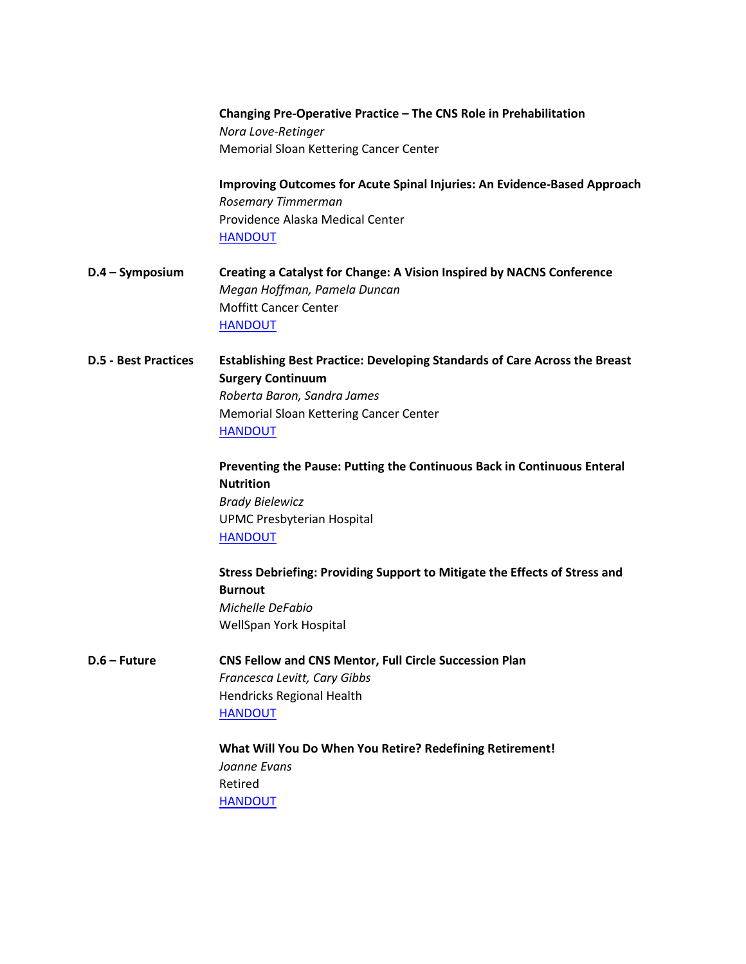|                             | Nora Love-Retinger                                                                |
|-----------------------------|-----------------------------------------------------------------------------------|
|                             | Memorial Sloan Kettering Cancer Center                                            |
|                             | Improving Outcomes for Acute Spinal Injuries: An Evidence-Based Approach          |
|                             | Rosemary Timmerman                                                                |
|                             | Providence Alaska Medical Center<br><b>HANDOUT</b>                                |
| $D.4 - Symposition$         | Creating a Catalyst for Change: A Vision Inspired by NACNS Conference             |
|                             | Megan Hoffman, Pamela Duncan                                                      |
|                             | <b>Moffitt Cancer Center</b>                                                      |
|                             | <b>HANDOUT</b>                                                                    |
| <b>D.5 - Best Practices</b> | <b>Establishing Best Practice: Developing Standards of Care Across the Breast</b> |
|                             | <b>Surgery Continuum</b>                                                          |
|                             | Roberta Baron, Sandra James                                                       |
|                             | Memorial Sloan Kettering Cancer Center                                            |
|                             | <b>HANDOUT</b>                                                                    |
|                             | Preventing the Pause: Putting the Continuous Back in Continuous Enteral           |
|                             | <b>Nutrition</b>                                                                  |
|                             | <b>Brady Bielewicz</b>                                                            |
|                             | <b>UPMC Presbyterian Hospital</b>                                                 |
|                             | <b>HANDOUT</b>                                                                    |
|                             | Stress Debriefing: Providing Support to Mitigate the Effects of Stress and        |
|                             | <b>Burnout</b>                                                                    |
|                             | Michelle DeFabio                                                                  |
|                             | WellSpan York Hospital                                                            |
| D.6 – Future                | CNS Fellow and CNS Mentor, Full Circle Succession Plan                            |
|                             | Francesca Levitt, Cary Gibbs                                                      |
|                             | Hendricks Regional Health                                                         |
|                             | <b>HANDOUT</b>                                                                    |
|                             |                                                                                   |

**Changing Pre-Operative Practice – The CNS Role in Prehabilitation**

**What Will You Do When You Retire? Redefining Retirement!** *Joanne Evans* Retired **[HANDOUT](https://www.dropbox.com/preview/2019%20Annual%20Conference/Final%20Presentations/D6%20-%20Joanne%20Evans.pdf?role=personal)**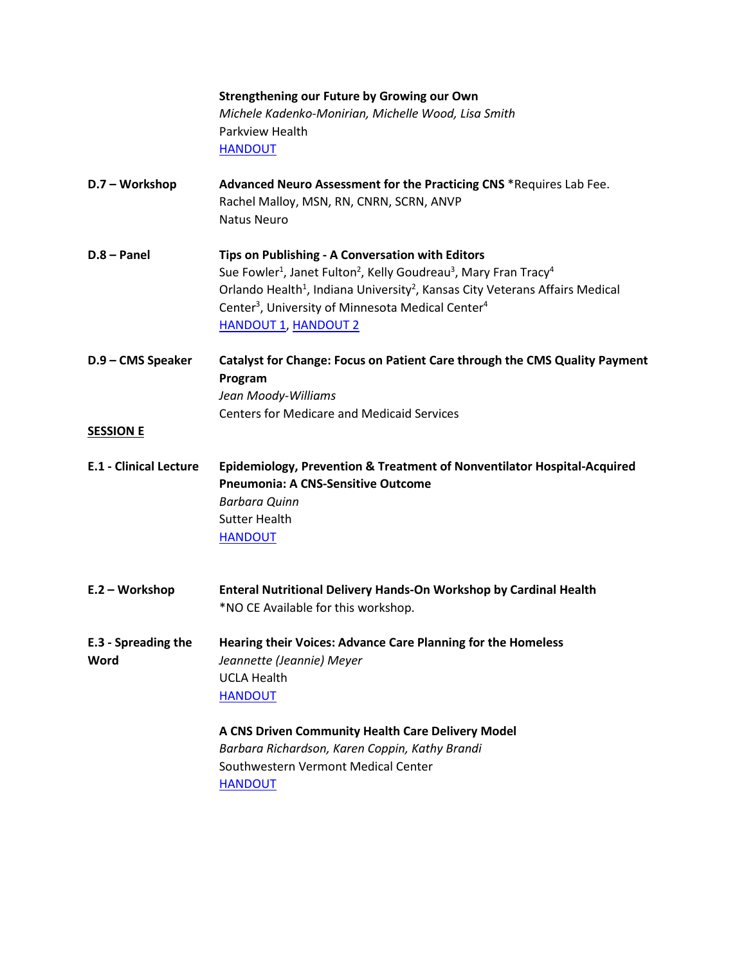|                                    | Strengthening our Future by Growing our Own                                                                                                                                                                                                                                                                                                                                              |
|------------------------------------|------------------------------------------------------------------------------------------------------------------------------------------------------------------------------------------------------------------------------------------------------------------------------------------------------------------------------------------------------------------------------------------|
|                                    | Michele Kadenko-Monirian, Michelle Wood, Lisa Smith                                                                                                                                                                                                                                                                                                                                      |
|                                    | <b>Parkview Health</b>                                                                                                                                                                                                                                                                                                                                                                   |
|                                    | <b>HANDOUT</b>                                                                                                                                                                                                                                                                                                                                                                           |
| D.7 - Workshop                     | Advanced Neuro Assessment for the Practicing CNS *Requires Lab Fee.<br>Rachel Malloy, MSN, RN, CNRN, SCRN, ANVP<br><b>Natus Neuro</b>                                                                                                                                                                                                                                                    |
| $D.8 - Panel$                      | Tips on Publishing - A Conversation with Editors<br>Sue Fowler <sup>1</sup> , Janet Fulton <sup>2</sup> , Kelly Goudreau <sup>3</sup> , Mary Fran Tracy <sup>4</sup><br>Orlando Health <sup>1</sup> , Indiana University <sup>2</sup> , Kansas City Veterans Affairs Medical<br>Center <sup>3</sup> , University of Minnesota Medical Center <sup>4</sup><br><b>HANDOUT 1, HANDOUT 2</b> |
| D.9 - CMS Speaker                  | <b>Catalyst for Change: Focus on Patient Care through the CMS Quality Payment</b><br>Program<br>Jean Moody-Williams<br><b>Centers for Medicare and Medicaid Services</b>                                                                                                                                                                                                                 |
| <b>SESSION E</b>                   |                                                                                                                                                                                                                                                                                                                                                                                          |
| <b>E.1 - Clinical Lecture</b>      | Epidemiology, Prevention & Treatment of Nonventilator Hospital-Acquired<br><b>Pneumonia: A CNS-Sensitive Outcome</b><br><b>Barbara Quinn</b><br><b>Sutter Health</b><br><b>HANDOUT</b>                                                                                                                                                                                                   |
| E.2 - Workshop                     | Enteral Nutritional Delivery Hands-On Workshop by Cardinal Health<br>*NO CE Available for this workshop.                                                                                                                                                                                                                                                                                 |
| <b>E.3 - Spreading the</b><br>Word | Hearing their Voices: Advance Care Planning for the Homeless<br>Jeannette (Jeannie) Meyer<br><b>UCLA Health</b><br><b>HANDOUT</b>                                                                                                                                                                                                                                                        |
|                                    | A CNS Driven Community Health Care Delivery Model<br>Barbara Richardson, Karen Coppin, Kathy Brandi<br>Southwestern Vermont Medical Center<br><b>HANDOUT</b>                                                                                                                                                                                                                             |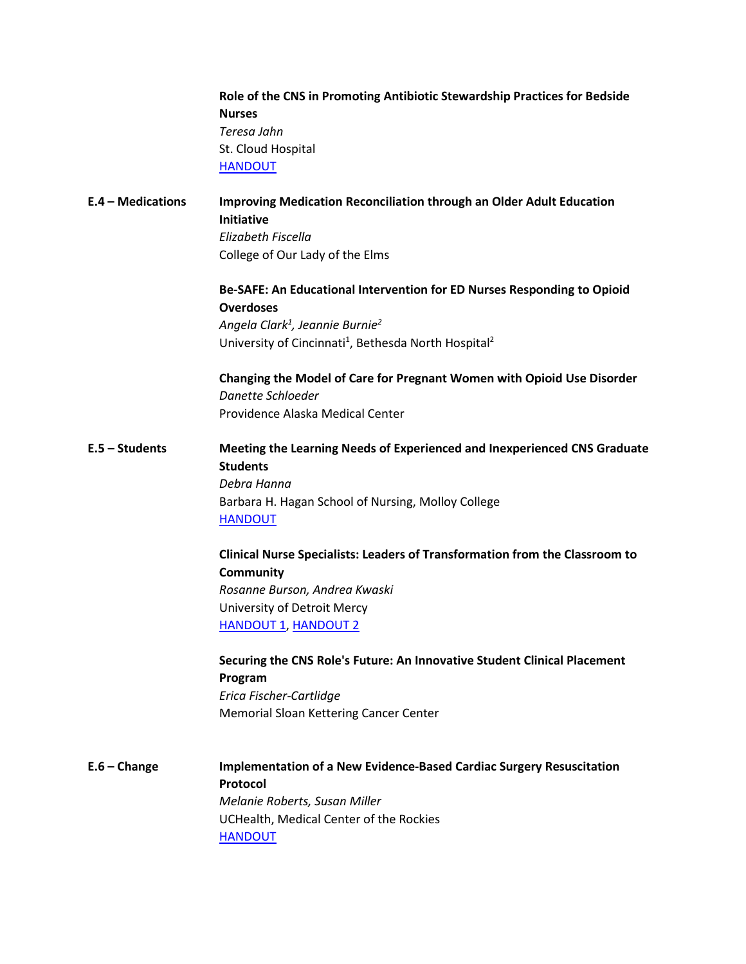|                   | Role of the CNS in Promoting Antibiotic Stewardship Practices for Bedside<br><b>Nurses</b><br>Teresa Jahn<br>St. Cloud Hospital<br><b>HANDOUT</b>                                                                                                                                                                                     |
|-------------------|---------------------------------------------------------------------------------------------------------------------------------------------------------------------------------------------------------------------------------------------------------------------------------------------------------------------------------------|
| E.4 - Medications | <b>Improving Medication Reconciliation through an Older Adult Education</b><br><b>Initiative</b><br>Elizabeth Fiscella<br>College of Our Lady of the Elms                                                                                                                                                                             |
|                   | Be-SAFE: An Educational Intervention for ED Nurses Responding to Opioid<br><b>Overdoses</b><br>Angela Clark <sup>1</sup> , Jeannie Burnie <sup>2</sup><br>University of Cincinnati <sup>1</sup> , Bethesda North Hospital <sup>2</sup><br>Changing the Model of Care for Pregnant Women with Opioid Use Disorder<br>Danette Schloeder |
|                   | Providence Alaska Medical Center                                                                                                                                                                                                                                                                                                      |
| $E.5 - Students$  | Meeting the Learning Needs of Experienced and Inexperienced CNS Graduate<br><b>Students</b><br>Debra Hanna<br>Barbara H. Hagan School of Nursing, Molloy College<br><b>HANDOUT</b>                                                                                                                                                    |
|                   | Clinical Nurse Specialists: Leaders of Transformation from the Classroom to<br><b>Community</b><br>Rosanne Burson, Andrea Kwaski<br>University of Detroit Mercy<br><b>HANDOUT 1, HANDOUT 2</b>                                                                                                                                        |
|                   | Securing the CNS Role's Future: An Innovative Student Clinical Placement<br>Program<br>Erica Fischer-Cartlidge<br><b>Memorial Sloan Kettering Cancer Center</b>                                                                                                                                                                       |
| $E.6 - Change$    | <b>Implementation of a New Evidence-Based Cardiac Surgery Resuscitation</b><br>Protocol<br>Melanie Roberts, Susan Miller<br>UCHealth, Medical Center of the Rockies<br><b>HANDOUT</b>                                                                                                                                                 |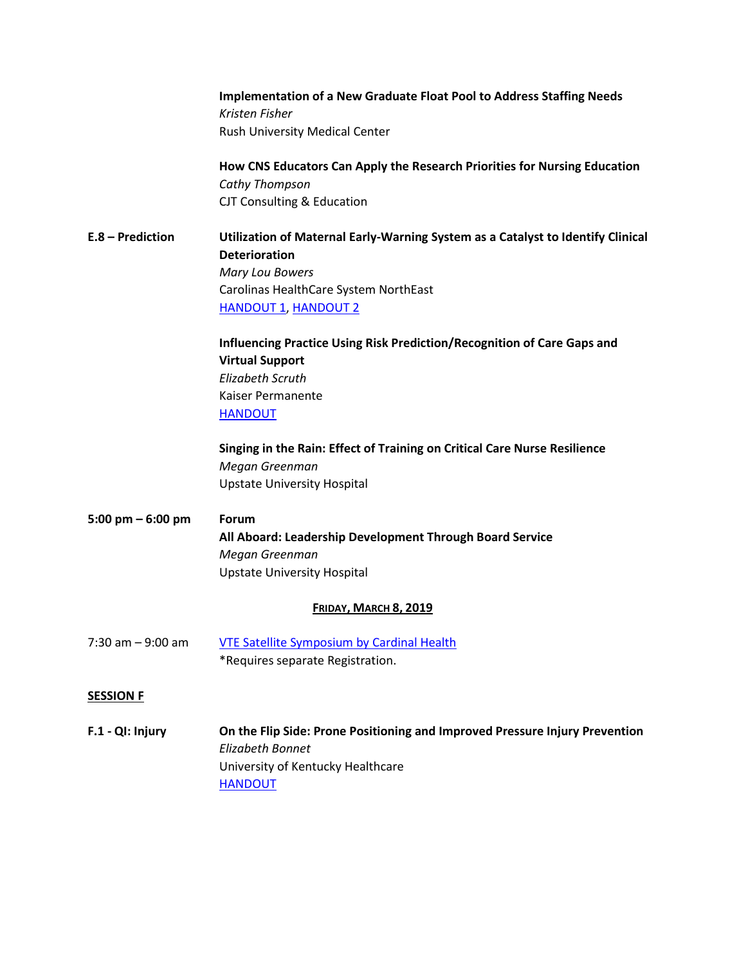**Implementation of a New Graduate Float Pool to Address Staffing Needs** *Kristen Fisher* Rush University Medical Center

**How CNS Educators Can Apply the Research Priorities for Nursing Education** *Cathy Thompson* CJT Consulting & Education

# **E.8 – Prediction Utilization of Maternal Early-Warning System as a Catalyst to Identify Clinical Deterioration** *Mary Lou Bowers* Carolinas HealthCare System NorthEast [HANDOUT 1,](https://www.dropbox.com/preview/2019%20Annual%20Conference/Final%20Presentations/E7%20-%20MAry%20Lou%20Bowers.pdf?role=personal) [HANDOUT 2](https://www.dropbox.com/preview/2019%20Annual%20Conference/Final%20Presentations/E7%20-%20Mary%20Lou%20Bowers%20(Handout).pdf?role=personal)

**Influencing Practice Using Risk Prediction/Recognition of Care Gaps and Virtual Support** *Elizabeth Scruth* Kaiser Permanente [HANDOUT](https://www.dropbox.com/preview/2019%20Annual%20Conference/Final%20Presentations/E7%20-%20Elizabeth%20Scruth.pdf?role=personal)

**Singing in the Rain: Effect of Training on Critical Care Nurse Resilience** *Megan Greenman* Upstate University Hospital

# **5:00 pm – 6:00 pm Forum All Aboard: Leadership Development Through Board Service** *Megan Greenman* Upstate University Hospital

### **FRIDAY, MARCH 8, 2019**

7:30 am - 9:00 am [VTE Satellite Symposium by Cardinal Health](http://cardinalhealth.cvent.com/events/vte-satellite-symposium/event-summary-b99f6aa6b1214700a61eec27430ea921.aspx) \*Requires separate Registration.

### **SESSION F**

**F.1 - QI: Injury On the Flip Side: Prone Positioning and Improved Pressure Injury Prevention** *Elizabeth Bonnet* University of Kentucky Healthcare [HANDOUT](https://www.dropbox.com/s/kxdmg25jis8s4i0/F1%20-%20Bonnet%2C%20Elizabeth.pdf?dl=0)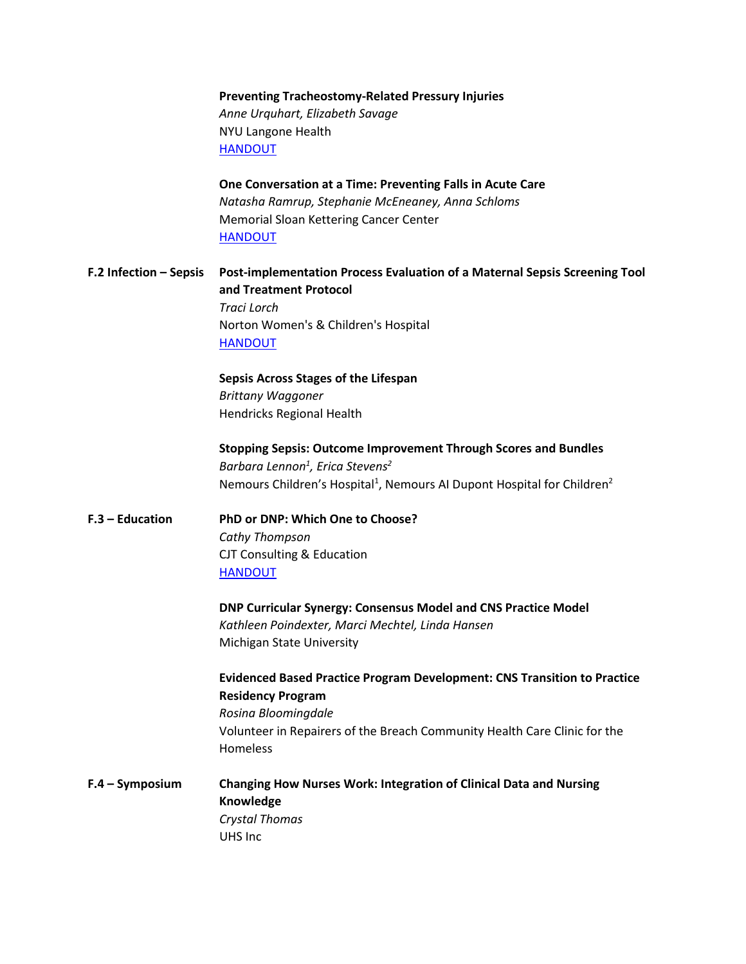### **Preventing Tracheostomy-Related Pressury Injuries** *Anne Urquhart, Elizabeth Savage* NYU Langone Health [HANDOUT](https://www.dropbox.com/preview/2019%20Annual%20Conference/Final%20Presentations/F5%20-%20Valerie%20Willis.pdf?role=personal)

**One Conversation at a Time: Preventing Falls in Acute Care** *Natasha Ramrup, Stephanie McEneaney, Anna Schloms* Memorial Sloan Kettering Cancer Center [HANDOUT](https://www.dropbox.com/s/u96unvalcj82pl8/F1%20-%20Ramrup%2C%20Natasha.pdf?dl=0)

**F.2 Infection – Sepsis Post-implementation Process Evaluation of a Maternal Sepsis Screening Tool and Treatment Protocol** *Traci Lorch* Norton Women's & Children's Hospital [HANDOUT](https://www.dropbox.com/s/ok14ch3l7w4orkf/F2%20-%20Lorch%2C%20Traci.pdf?dl=0)

> **Sepsis Across Stages of the Lifespan** *Brittany Waggoner* Hendricks Regional Health

**Stopping Sepsis: Outcome Improvement Through Scores and Bundles** *Barbara Lennon1 , Erica Stevens2* Nemours Children's Hospital<sup>1</sup>, Nemours AI Dupont Hospital for Children<sup>2</sup>

**F.3 – Education PhD or DNP: Which One to Choose?** *Cathy Thompson* CJT Consulting & Education [HANDOUT](https://www.dropbox.com/s/k1r2kc77m8stnmy/F3%20-%20Thompson%2C%20Cathy.pdf?dl=0)

> **DNP Curricular Synergy: Consensus Model and CNS Practice Model** *Kathleen Poindexter, Marci Mechtel, Linda Hansen* Michigan State University

**Evidenced Based Practice Program Development: CNS Transition to Practice Residency Program** *Rosina Bloomingdale* Volunteer in Repairers of the Breach Community Health Care Clinic for the Homeless

**F.4 – Symposium Changing How Nurses Work: Integration of Clinical Data and Nursing Knowledge** *Crystal Thomas* UHS Inc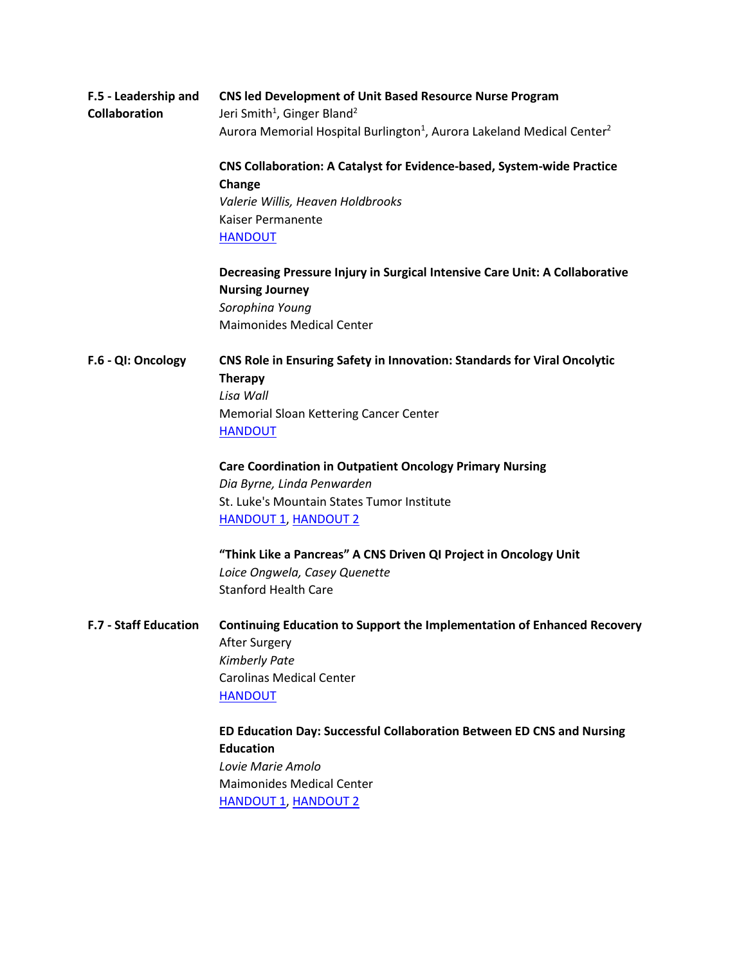| F.5 - Leadership and<br><b>Collaboration</b> | <b>CNS led Development of Unit Based Resource Nurse Program</b><br>Jeri Smith <sup>1</sup> , Ginger Bland <sup>2</sup> |
|----------------------------------------------|------------------------------------------------------------------------------------------------------------------------|
|                                              | Aurora Memorial Hospital Burlington <sup>1</sup> , Aurora Lakeland Medical Center <sup>2</sup>                         |
|                                              | <b>CNS Collaboration: A Catalyst for Evidence-based, System-wide Practice</b><br>Change                                |
|                                              | Valerie Willis, Heaven Holdbrooks                                                                                      |
|                                              | Kaiser Permanente                                                                                                      |
|                                              | <b>HANDOUT</b>                                                                                                         |
|                                              | Decreasing Pressure Injury in Surgical Intensive Care Unit: A Collaborative                                            |
|                                              | <b>Nursing Journey</b>                                                                                                 |
|                                              | Sorophina Young                                                                                                        |
|                                              | <b>Maimonides Medical Center</b>                                                                                       |
| F.6 - QI: Oncology                           | <b>CNS Role in Ensuring Safety in Innovation: Standards for Viral Oncolytic</b>                                        |
|                                              | Therapy                                                                                                                |
|                                              | Lisa Wall                                                                                                              |
|                                              | Memorial Sloan Kettering Cancer Center                                                                                 |
|                                              | <b>HANDOUT</b>                                                                                                         |
|                                              | <b>Care Coordination in Outpatient Oncology Primary Nursing</b>                                                        |
|                                              | Dia Byrne, Linda Penwarden                                                                                             |
|                                              | St. Luke's Mountain States Tumor Institute                                                                             |
|                                              | <b>HANDOUT 1, HANDOUT 2</b>                                                                                            |
|                                              | "Think Like a Pancreas" A CNS Driven QI Project in Oncology Unit                                                       |
|                                              | Loice Ongwela, Casey Quenette                                                                                          |
|                                              | <b>Stanford Health Care</b>                                                                                            |
| <b>F.7 - Staff Education</b>                 | Continuing Education to Support the Implementation of Enhanced Recovery                                                |
|                                              | After Surgery                                                                                                          |
|                                              | <b>Kimberly Pate</b>                                                                                                   |
|                                              | <b>Carolinas Medical Center</b>                                                                                        |
|                                              | <b>HANDOUT</b>                                                                                                         |
|                                              | ED Education Day: Successful Collaboration Between ED CNS and Nursing                                                  |
|                                              | <b>Education</b>                                                                                                       |
|                                              | Lovie Marie Amolo                                                                                                      |
|                                              | <b>Maimonides Medical Center</b>                                                                                       |
|                                              | <b>HANDOUT 1, HANDOUT 2</b>                                                                                            |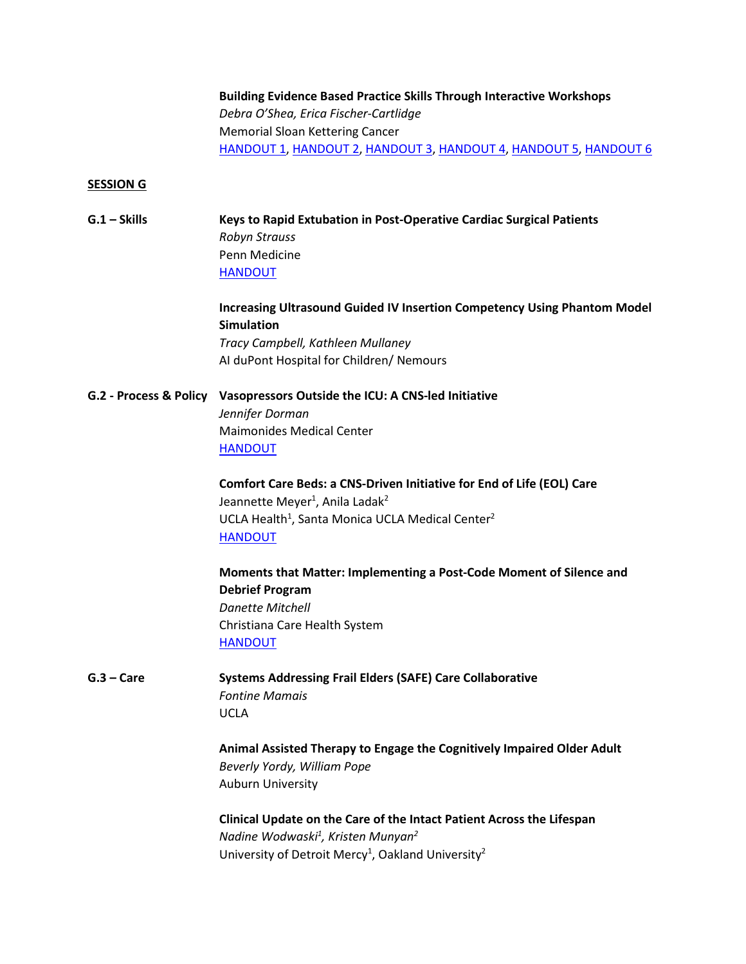### **Building Evidence Based Practice Skills Through Interactive Workshops** *Debra O'Shea, Erica Fischer-Cartlidge* Memorial Sloan Kettering Cancer [HANDOUT 1,](https://www.dropbox.com/s/50wbpssgizqms32/F7%20-%20O%27Shea%2C%20Debra%20%28Critical%20Appraisal%29.pdf?dl=0) [HANDOUT 2,](https://www.dropbox.com/s/43py7k1t59p5wxd/F7%20-%20O%27Shea%2C%20Debra%20%28PPT%20Notes%29.pdf?dl=0) [HANDOUT 3,](https://www.dropbox.com/s/jvba8mqwnpvoxxo/F7%20-%20O%27Shea%2C%20Debra%20%28Search%20Strategy%29.pdf?dl=0) [HANDOUT 4, HANDOUT 5,](https://www.dropbox.com/s/pvoi26pyo0htoip/F7%20-%20O%27Shea%2C%20Debra%202.pdf?dl=0) [HANDOUT 6](https://www.dropbox.com/s/y3cmqk078edzo6p/F7%20-%20O%27Shea%2C%20Debra.pdf?dl=0)

#### **SESSION G**

| G.1 – Skills | Keys to Rapid Extubation in Post-Operative Cardiac Surgical Patients |
|--------------|----------------------------------------------------------------------|
|              | Robyn Strauss                                                        |
|              | Penn Medicine                                                        |
|              | <b>HANDOUT</b>                                                       |

### **Increasing Ultrasound Guided IV Insertion Competency Using Phantom Model Simulation** *Tracy Campbell, Kathleen Mullaney*

AI duPont Hospital for Children/ Nemours

### **G.2 - Process & Policy Vasopressors Outside the ICU: A CNS-led Initiative**

*Jennifer Dorman* Maimonides Medical Center [HANDOUT](https://www.dropbox.com/preview/2019%20Annual%20Conference/Final%20Presentations/G2%20-%20Jnnifer%20Dorman.pdf?role=personal)

**Comfort Care Beds: a CNS-Driven Initiative for End of Life (EOL) Care** Jeannette Meyer<sup>1</sup>, Anila Ladak<sup>2</sup> UCLA Health<sup>1</sup>, Santa Monica UCLA Medical Center<sup>2</sup> [HANDOUT](https://www.dropbox.com/preview/2019%20Annual%20Conference/Final%20Presentations/G2%20-%20Jeannette%20Meyer.pdf?role=personal)

**Moments that Matter: Implementing a Post-Code Moment of Silence and Debrief Program** *Danette Mitchell* Christiana Care Health System **[HANDOUT](https://www.dropbox.com/preview/2019%20Annual%20Conference/Final%20Presentations/G2%20-%20Dannette%20Mitchell.pdf?role=personal)** 

**G.3 – Care Systems Addressing Frail Elders (SAFE) Care Collaborative** *Fontine Mamais* UCLA

> **Animal Assisted Therapy to Engage the Cognitively Impaired Older Adult** *Beverly Yordy, William Pope* Auburn University

### **Clinical Update on the Care of the Intact Patient Across the Lifespan** *Nadine Wodwaski1 , Kristen Munyan2* University of Detroit Mercy<sup>1</sup>, Oakland University<sup>2</sup>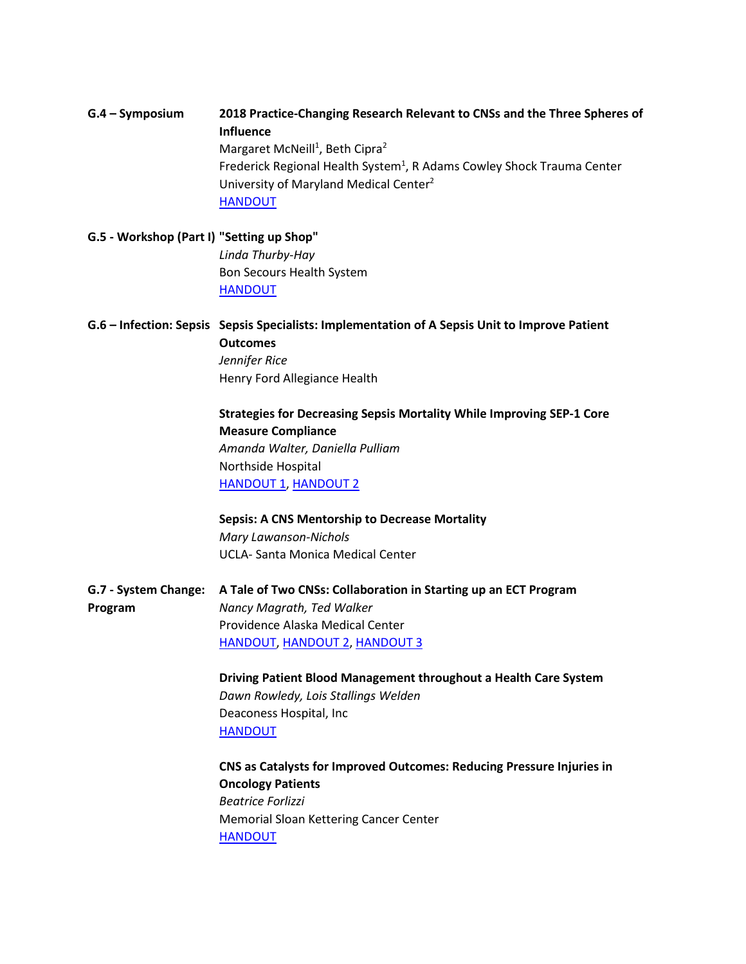# **G.4 – Symposium 2018 Practice-Changing Research Relevant to CNSs and the Three Spheres of Influence** Margaret McNeill<sup>1</sup>, Beth Cipra<sup>2</sup> Frederick Regional Health System<sup>1</sup>, R Adams Cowley Shock Trauma Center University of Maryland Medical Center2 [HANDOUT](https://www.dropbox.com/s/nhbez5xkdbrttxb/G4%20-%20McNeill%2C%20Margaret.docx?dl=0)

**G.5 - Workshop (Part I) "Setting up Shop"** *Linda Thurby-Hay* Bon Secours Health System [HANDOUT](https://www.dropbox.com/preview/2019%20Annual%20Conference/Final%20Presentations/G5%20-%20Linda%20Thurby-Hay.pdf?role=personal)

**G.6 – Infection: Sepsis Sepsis Specialists: Implementation of A Sepsis Unit to Improve Patient Outcomes** *Jennifer Rice* Henry Ford Allegiance Health

> **Strategies for Decreasing Sepsis Mortality While Improving SEP-1 Core Measure Compliance** *Amanda Walter, Daniella Pulliam* Northside Hospital [HANDOUT 1,](https://www.dropbox.com/preview/2019%20Annual%20Conference/Final%20Presentations/G6%20-%20Amanda%20Walter.pdf?role=personal) [HANDOUT 2](https://www.dropbox.com/preview/2019%20Annual%20Conference/Final%20Presentations/G6%20-%20Amanda%20Walter%20(handout).pdf?role=personal)

**Sepsis: A CNS Mentorship to Decrease Mortality** *Mary Lawanson-Nichols* UCLA- Santa Monica Medical Center

**G.7 - System Change: A Tale of Two CNSs: Collaboration in Starting up an ECT Program Program** *Nancy Magrath, Ted Walker* Providence Alaska Medical Center [HANDOUT,](https://www.dropbox.com/s/pzbja4pw8lmy025/G7-Mcgrath%2C%20Nan%20%281%29.pdf?dl=0) [HANDOUT 2,](https://www.dropbox.com/s/yynipj8e9vic2co/G7-Mcgrath%2C%20Nan%20%282%29.pdf?dl=0) [HANDOUT 3](https://www.dropbox.com/s/5fnx7zm4k8yluym/G7-Mcgrath%2C%20Nan%20%283%29.pdf?dl=0)

> **Driving Patient Blood Management throughout a Health Care System** *Dawn Rowledy, Lois Stallings Welden* Deaconess Hospital, Inc [HANDOUT](https://www.dropbox.com/preview/2019%20Annual%20Conference/Final%20Presentations/G7%20-%20Lois%20Welden.pdf?role=personal)

**CNS as Catalysts for Improved Outcomes: Reducing Pressure Injuries in Oncology Patients** *Beatrice Forlizzi* Memorial Sloan Kettering Cancer Center [HANDOUT](https://www.dropbox.com/s/9d575qnjkpqv700/G7%20-%20Forlizzi%2C%20Beatrice%20%28PPT%20Notes%29.pdf?dl=0)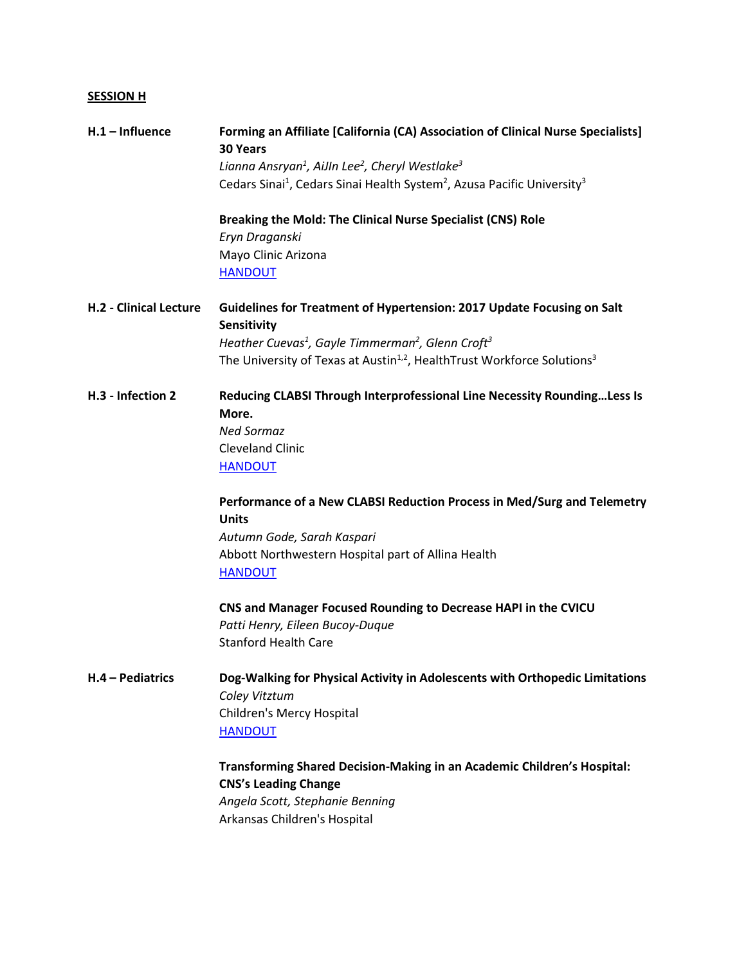# **SESSION H**

| $H.1$ – Influence             | Forming an Affiliate [California (CA) Association of Clinical Nurse Specialists]<br><b>30 Years</b>         |
|-------------------------------|-------------------------------------------------------------------------------------------------------------|
|                               | Lianna Ansryan <sup>1</sup> , AiJIn Lee <sup>2</sup> , Cheryl Westlake <sup>3</sup>                         |
|                               | Cedars Sinai <sup>1</sup> , Cedars Sinai Health System <sup>2</sup> , Azusa Pacific University <sup>3</sup> |
|                               | Breaking the Mold: The Clinical Nurse Specialist (CNS) Role                                                 |
|                               | Eryn Draganski                                                                                              |
|                               | Mayo Clinic Arizona<br><b>HANDOUT</b>                                                                       |
| <b>H.2 - Clinical Lecture</b> | Guidelines for Treatment of Hypertension: 2017 Update Focusing on Salt<br>Sensitivity                       |
|                               | Heather Cuevas <sup>1</sup> , Gayle Timmerman <sup>2</sup> , Glenn Croft <sup>3</sup>                       |
|                               | The University of Texas at Austin <sup>1,2</sup> , Health Trust Workforce Solutions <sup>3</sup>            |
| H.3 - Infection 2             | Reducing CLABSI Through Interprofessional Line Necessity RoundingLess Is<br>More.                           |
|                               | <b>Ned Sormaz</b>                                                                                           |
|                               | <b>Cleveland Clinic</b>                                                                                     |
|                               | <b>HANDOUT</b>                                                                                              |
|                               | Performance of a New CLABSI Reduction Process in Med/Surg and Telemetry                                     |
|                               | <b>Units</b>                                                                                                |
|                               | Autumn Gode, Sarah Kaspari                                                                                  |
|                               | Abbott Northwestern Hospital part of Allina Health<br><b>HANDOUT</b>                                        |
|                               | CNS and Manager Focused Rounding to Decrease HAPI in the CVICU                                              |
|                               | Patti Henry, Eileen Bucoy-Duque                                                                             |
|                               | <b>Stanford Health Care</b>                                                                                 |
| H.4 - Pediatrics              | Dog-Walking for Physical Activity in Adolescents with Orthopedic Limitations                                |
|                               | Coley Vitztum                                                                                               |
|                               | Children's Mercy Hospital                                                                                   |
|                               | <b>HANDOUT</b>                                                                                              |
|                               | Transforming Shared Decision-Making in an Academic Children's Hospital:                                     |
|                               | <b>CNS's Leading Change</b>                                                                                 |
|                               | Angela Scott, Stephanie Benning                                                                             |
|                               | Arkansas Children's Hospital                                                                                |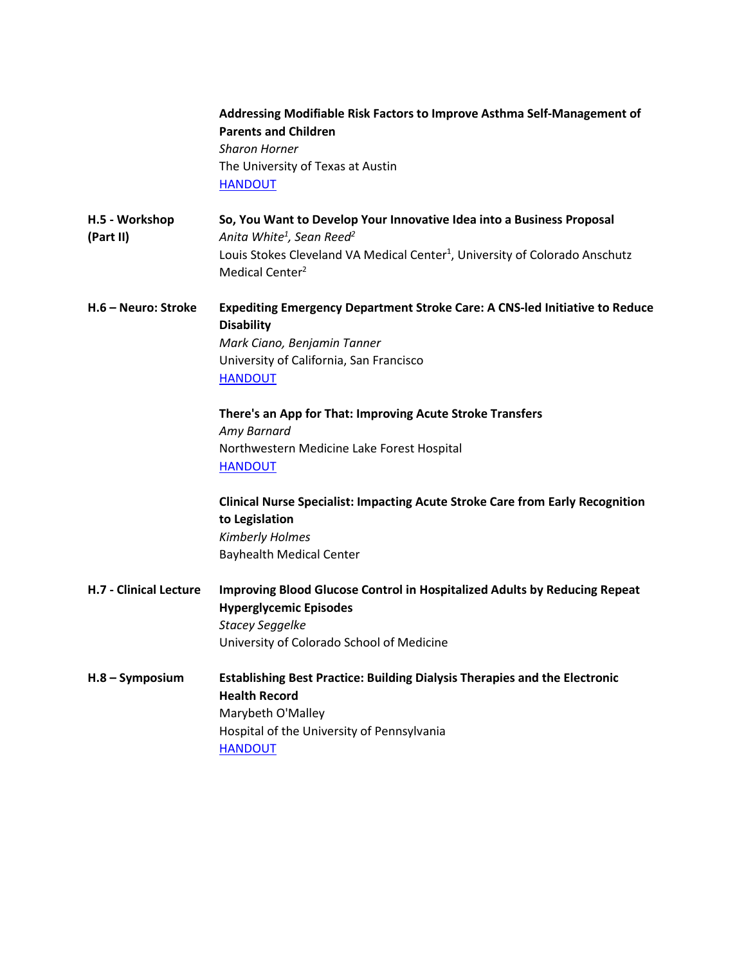|                               | Addressing Modifiable Risk Factors to Improve Asthma Self-Management of<br><b>Parents and Children</b><br><b>Sharon Horner</b><br>The University of Texas at Austin<br><b>HANDOUT</b> |
|-------------------------------|---------------------------------------------------------------------------------------------------------------------------------------------------------------------------------------|
| H.5 - Workshop<br>(Part II)   | So, You Want to Develop Your Innovative Idea into a Business Proposal<br>Anita White <sup>1</sup> , Sean Reed <sup>2</sup>                                                            |
|                               | Louis Stokes Cleveland VA Medical Center <sup>1</sup> , University of Colorado Anschutz<br>Medical Center <sup>2</sup>                                                                |
| H.6 - Neuro: Stroke           | Expediting Emergency Department Stroke Care: A CNS-led Initiative to Reduce<br><b>Disability</b>                                                                                      |
|                               | Mark Ciano, Benjamin Tanner                                                                                                                                                           |
|                               | University of California, San Francisco                                                                                                                                               |
|                               | <b>HANDOUT</b>                                                                                                                                                                        |
|                               | There's an App for That: Improving Acute Stroke Transfers                                                                                                                             |
|                               | Amy Barnard                                                                                                                                                                           |
|                               | Northwestern Medicine Lake Forest Hospital<br><b>HANDOUT</b>                                                                                                                          |
|                               | <b>Clinical Nurse Specialist: Impacting Acute Stroke Care from Early Recognition</b><br>to Legislation<br><b>Kimberly Holmes</b>                                                      |
|                               | <b>Bayhealth Medical Center</b>                                                                                                                                                       |
| <b>H.7 - Clinical Lecture</b> | Improving Blood Glucose Control in Hospitalized Adults by Reducing Repeat<br><b>Hyperglycemic Episodes</b>                                                                            |
|                               | <b>Stacey Seggelke</b>                                                                                                                                                                |
|                               | University of Colorado School of Medicine                                                                                                                                             |
| $H.8 - Symposition$           | <b>Establishing Best Practice: Building Dialysis Therapies and the Electronic</b>                                                                                                     |
|                               | <b>Health Record</b>                                                                                                                                                                  |
|                               | Marybeth O'Malley<br>Hospital of the University of Pennsylvania                                                                                                                       |
|                               | <b>HANDOUT</b>                                                                                                                                                                        |
|                               |                                                                                                                                                                                       |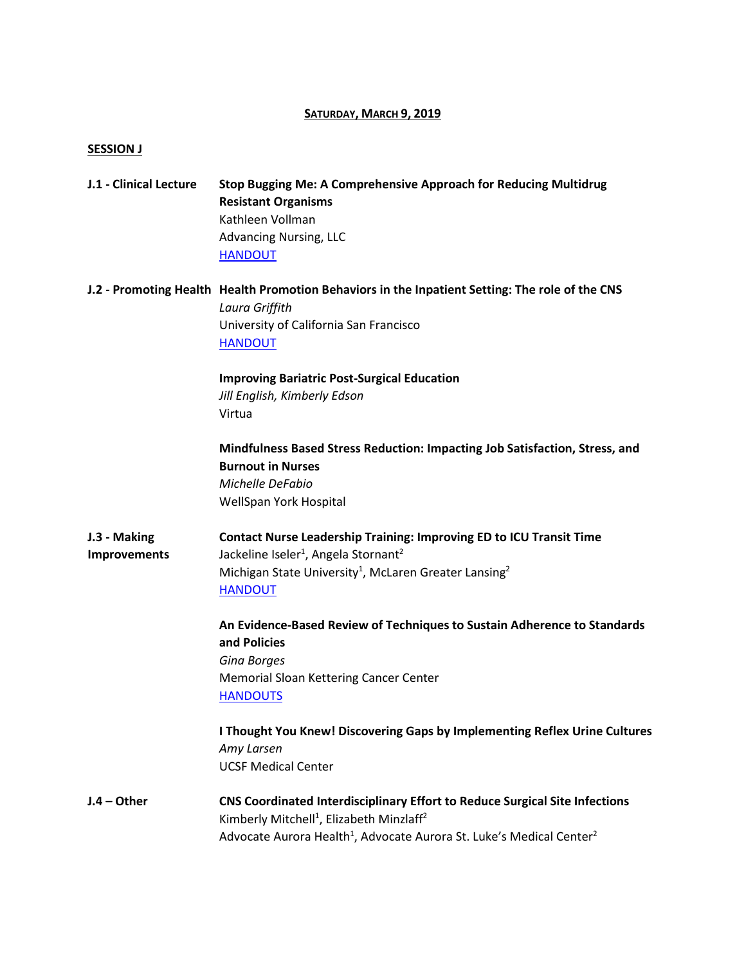#### **SATURDAY, MARCH 9, 2019**

#### **SESSION J**

| J.1 - Clinical Lecture | Stop Bugging Me: A Comprehensive Approach for Reducing Multidrug |
|------------------------|------------------------------------------------------------------|
|                        | <b>Resistant Organisms</b>                                       |
|                        | Kathleen Vollman                                                 |
|                        | <b>Advancing Nursing, LLC</b>                                    |
|                        | <b>HANDOUT</b>                                                   |

**J.2 - Promoting Health [Health Promotion Behaviors in the Inpatient Setting: The role of the CNS](https://virtualinc-my.sharepoint.com/personal/cshilo_virtualinc_com/Documents/User%20Profile/Desktop/J2%20-%20Griffith,%20Laura.pptx)** *Laura Griffith* University of California San Francisco [HANDOUT](https://www.dropbox.com/s/hzl3j4be5uvz00m/J2%20-%20Griffith%2C%20Laura.pdf?dl=0)

> **Improving Bariatric Post-Surgical Education** *Jill English, Kimberly Edson* Virtua

**Mindfulness Based Stress Reduction: Impacting Job Satisfaction, Stress, and Burnout in Nurses** *Michelle DeFabio* WellSpan York Hospital

**J.3 - Making Contact Nurse Leadership Training: Improving ED to ICU Transit Time Improvements** Jackeline Iseler<sup>1</sup>, Angela Stornant<sup>2</sup> Michigan State University<sup>1</sup>, McLaren Greater Lansing<sup>2</sup> [HANDOUT](https://www.dropbox.com/preview/2019%20Annual%20Conference/Final%20Presentations/J3%20-%20Jackeline%20Iseler.pdf?role=personal)

> **An Evidence-Based Review of Techniques to Sustain Adherence to Standards and Policies** *Gina Borges* Memorial Sloan Kettering Cancer Center **[HANDOUTS](https://www.dropbox.com/s/6cm0n6cgrtir5cj/J3%20-%20Borges%2C%20Gina%20%28PPT%20Notes%29.pdf?dl=0)**

**I Thought You Knew! Discovering Gaps by Implementing Reflex Urine Cultures** *Amy Larsen* UCSF Medical Center

**J.4 – Other CNS Coordinated Interdisciplinary Effort to Reduce Surgical Site Infections** Kimberly Mitchell<sup>1</sup>, Elizabeth Minzlaff<sup>2</sup> Advocate Aurora Health<sup>1</sup>, Advocate Aurora St. Luke's Medical Center<sup>2</sup>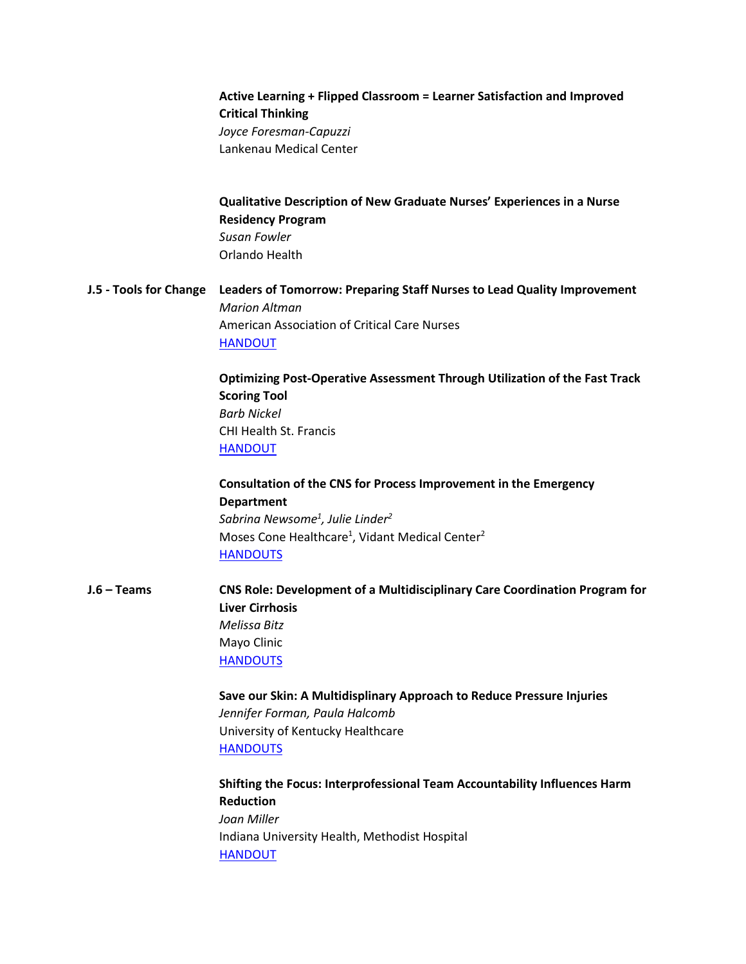# **Active Learning + Flipped Classroom = Learner Satisfaction and Improved Critical Thinking** *Joyce Foresman-Capuzzi* Lankenau Medical Center

**Qualitative Description of New Graduate Nurses' Experiences in a Nurse Residency Program** *Susan Fowler* Orlando Health

**J.5 - Tools for Change Leaders of Tomorrow: Preparing Staff Nurses to Lead Quality Improvement** *Marion Altman* American Association of Critical Care Nurses [HANDOUT](https://www.dropbox.com/preview/2019%20Annual%20Conference/Final%20Presentations/J5%20-%20Marian%20Altman.pdf?role=personal)

> **Optimizing Post-Operative Assessment Through Utilization of the Fast Track Scoring Tool** *Barb Nickel* CHI Health St. Francis [HANDOUT](https://www.dropbox.com/preview/2019%20Annual%20Conference/Final%20Presentations/J5%20-%20Barb%20Nikel.pdf?role=personal)

**Consultation of the CNS for Process Improvement in the Emergency Department** *Sabrina Newsome1 , Julie Linder2* Moses Cone Healthcare<sup>1</sup>, Vidant Medical Center<sup>2</sup> **[HANDOUTS](https://www.dropbox.com/s/dp4t4dqyfiwiqlg/J5%20-%20Linder%2C%20Julie.pdf?dl=0)** 

**J.6 – Teams CNS Role: Development of a Multidisciplinary Care Coordination Program for Liver Cirrhosis** *Melissa Bitz* Mayo Clinic **[HANDOUTS](https://www.dropbox.com/s/rdgf9fw9cpy72uk/J6%20-%20Bitz%2C%20Melissa.pdf?dl=0)** 

> **Save our Skin: A Multidisplinary Approach to Reduce Pressure Injuries** *Jennifer Forman, Paula Halcomb* University of Kentucky Healthcare **[HANDOUTS](https://www.dropbox.com/preview/2019%20Annual%20Conference/Final%20Presentations/J6%20-%20Jennifer%20Forman.pdf?role=personal)**

**Shifting the Focus: Interprofessional Team Accountability Influences Harm Reduction** *Joan Miller* Indiana University Health, Methodist Hospital [HANDOUT](https://www.dropbox.com/preview/2019%20Annual%20Conference/Final%20Presentations/J6%20-%20Joan%20Miller.pdf?role=personal)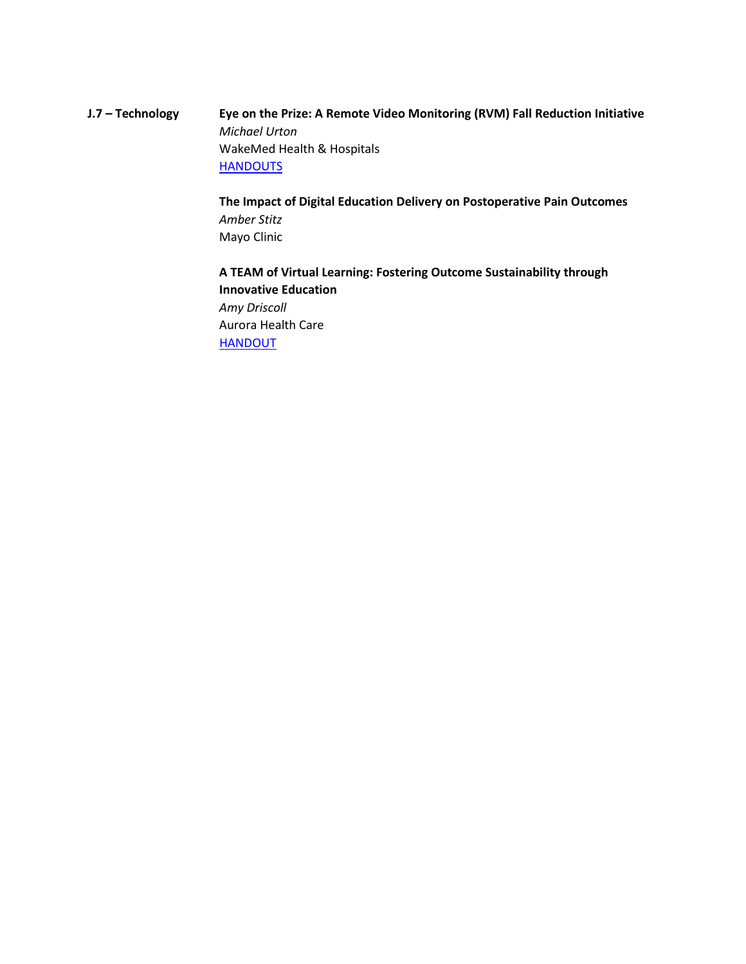# **J.7 – Technology Eye on the Prize: A Remote Video Monitoring (RVM) Fall Reduction Initiative** *Michael Urton* WakeMed Health & Hospitals **[HANDOUTS](https://www.dropbox.com/s/21zlxikmfsoho37/J7%20-%20Urton%2C%20Michael.pdf?dl=0)**

**The Impact of Digital Education Delivery on Postoperative Pain Outcomes** *Amber Stitz* Mayo Clinic

**A TEAM of Virtual Learning: Fostering Outcome Sustainability through Innovative Education** *Amy Driscoll* Aurora Health Care [HANDOUT](https://www.dropbox.com/preview/2019%20Annual%20Conference/Final%20Presentations/J7%20-%20Amy%20Driscoll.pdf?role=personal)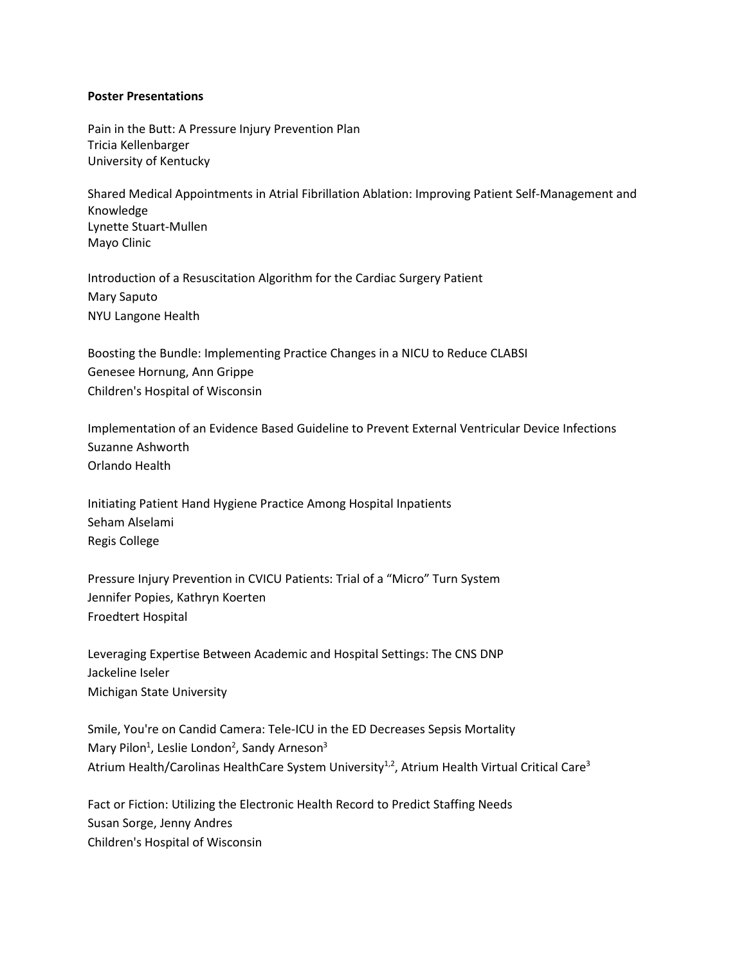#### **Poster Presentations**

Pain in the Butt: A Pressure Injury Prevention Plan Tricia Kellenbarger University of Kentucky

Shared Medical Appointments in Atrial Fibrillation Ablation: Improving Patient Self-Management and Knowledge Lynette Stuart-Mullen Mayo Clinic

Introduction of a Resuscitation Algorithm for the Cardiac Surgery Patient Mary Saputo NYU Langone Health

Boosting the Bundle: Implementing Practice Changes in a NICU to Reduce CLABSI Genesee Hornung, Ann Grippe Children's Hospital of Wisconsin

Implementation of an Evidence Based Guideline to Prevent External Ventricular Device Infections Suzanne Ashworth Orlando Health

Initiating Patient Hand Hygiene Practice Among Hospital Inpatients Seham Alselami Regis College

Pressure Injury Prevention in CVICU Patients: Trial of a "Micro" Turn System Jennifer Popies, Kathryn Koerten Froedtert Hospital

Leveraging Expertise Between Academic and Hospital Settings: The CNS DNP Jackeline Iseler Michigan State University

Smile, You're on Candid Camera: Tele-ICU in the ED Decreases Sepsis Mortality Mary Pilon<sup>1</sup>, Leslie London<sup>2</sup>, Sandy Arneson<sup>3</sup> Atrium Health/Carolinas HealthCare System University<sup>1,2</sup>, Atrium Health Virtual Critical Care<sup>3</sup>

Fact or Fiction: Utilizing the Electronic Health Record to Predict Staffing Needs Susan Sorge, Jenny Andres Children's Hospital of Wisconsin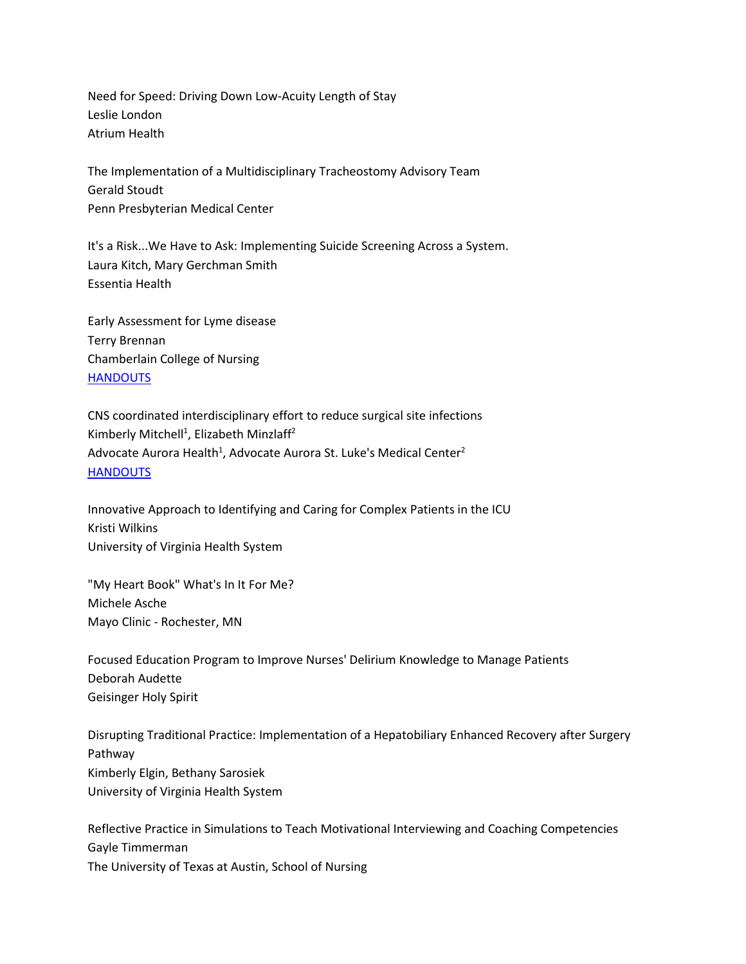Need for Speed: Driving Down Low-Acuity Length of Stay Leslie London Atrium Health

The Implementation of a Multidisciplinary Tracheostomy Advisory Team Gerald Stoudt Penn Presbyterian Medical Center

It's a Risk...We Have to Ask: Implementing Suicide Screening Across a System. Laura Kitch, Mary Gerchman Smith Essentia Health

Early Assessment for Lyme disease Terry Brennan Chamberlain College of Nursing **[HANDOUTS](https://www.dropbox.com/s/z191x995mlcm7o8/P17%20-%20Brennan%20Terry.pdf?dl=0)** 

CNS coordinated interdisciplinary effort to reduce surgical site infections Kimberly Mitchell<sup>1</sup>, Elizabeth Minzlaff<sup>2</sup> Advocate Aurora Health<sup>1</sup>, Advocate Aurora St. Luke's Medical Center<sup>2</sup> **[HANDOUTS](https://www.dropbox.com/s/javhjhav06lsjo2/P19%20-%20Mitchell%2C%20Kimberly.pdf?dl=0)** 

Innovative Approach to Identifying and Caring for Complex Patients in the ICU Kristi Wilkins University of Virginia Health System

"My Heart Book" What's In It For Me? Michele Asche Mayo Clinic - Rochester, MN

Focused Education Program to Improve Nurses' Delirium Knowledge to Manage Patients Deborah Audette Geisinger Holy Spirit

Disrupting Traditional Practice: Implementation of a Hepatobiliary Enhanced Recovery after Surgery Pathway Kimberly Elgin, Bethany Sarosiek University of Virginia Health System

Reflective Practice in Simulations to Teach Motivational Interviewing and Coaching Competencies Gayle Timmerman The University of Texas at Austin, School of Nursing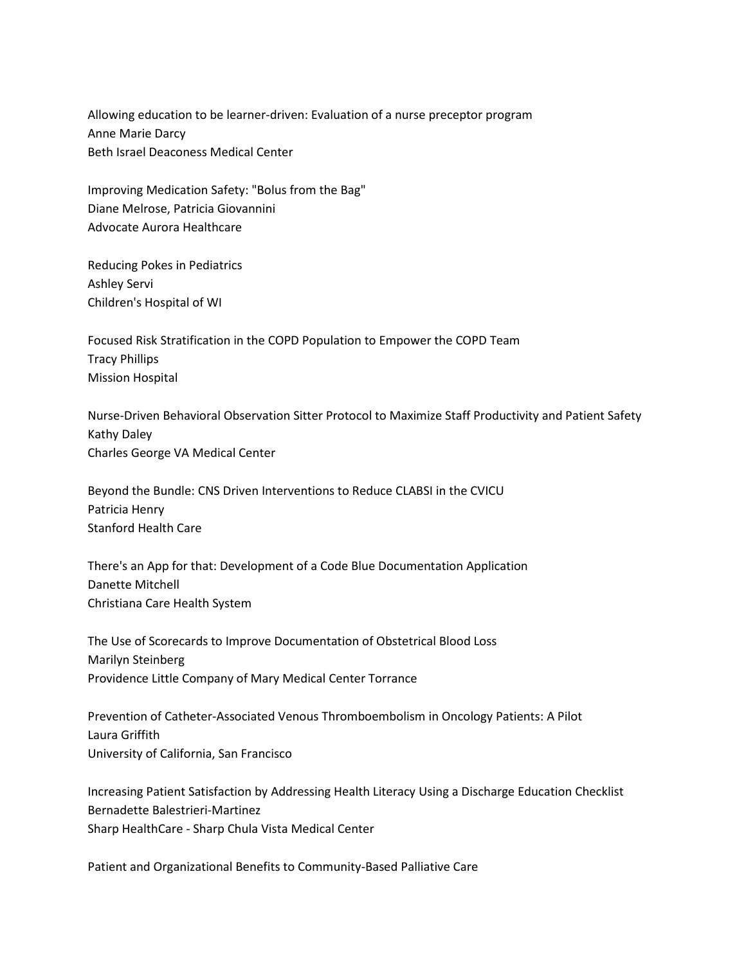Allowing education to be learner-driven: Evaluation of a nurse preceptor program Anne Marie Darcy Beth Israel Deaconess Medical Center

Improving Medication Safety: "Bolus from the Bag" Diane Melrose, Patricia Giovannini Advocate Aurora Healthcare

Reducing Pokes in Pediatrics Ashley Servi Children's Hospital of WI

Focused Risk Stratification in the COPD Population to Empower the COPD Team Tracy Phillips Mission Hospital

Nurse-Driven Behavioral Observation Sitter Protocol to Maximize Staff Productivity and Patient Safety Kathy Daley Charles George VA Medical Center

Beyond the Bundle: CNS Driven Interventions to Reduce CLABSI in the CVICU Patricia Henry Stanford Health Care

There's an App for that: Development of a Code Blue Documentation Application Danette Mitchell Christiana Care Health System

The Use of Scorecards to Improve Documentation of Obstetrical Blood Loss Marilyn Steinberg Providence Little Company of Mary Medical Center Torrance

Prevention of Catheter-Associated Venous Thromboembolism in Oncology Patients: A Pilot Laura Griffith University of California, San Francisco

Increasing Patient Satisfaction by Addressing Health Literacy Using a Discharge Education Checklist Bernadette Balestrieri-Martinez Sharp HealthCare - Sharp Chula Vista Medical Center

Patient and Organizational Benefits to Community-Based Palliative Care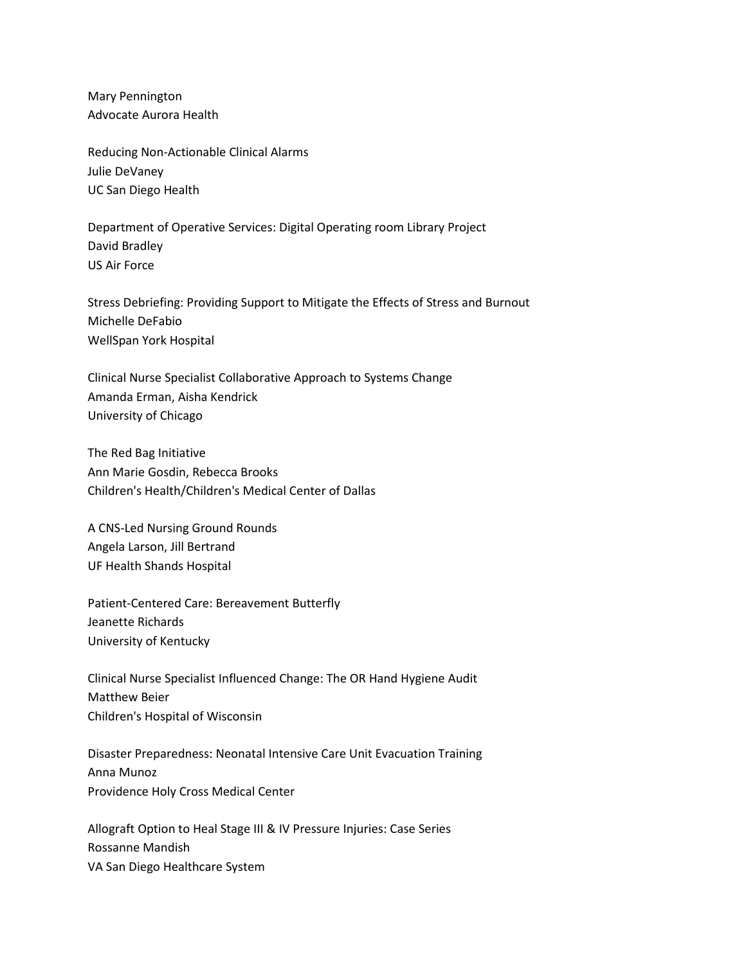Mary Pennington Advocate Aurora Health

Reducing Non-Actionable Clinical Alarms Julie DeVaney UC San Diego Health

Department of Operative Services: Digital Operating room Library Project David Bradley US Air Force

Stress Debriefing: Providing Support to Mitigate the Effects of Stress and Burnout Michelle DeFabio WellSpan York Hospital

Clinical Nurse Specialist Collaborative Approach to Systems Change Amanda Erman, Aisha Kendrick University of Chicago

The Red Bag Initiative Ann Marie Gosdin, Rebecca Brooks Children's Health/Children's Medical Center of Dallas

A CNS-Led Nursing Ground Rounds Angela Larson, Jill Bertrand UF Health Shands Hospital

Patient-Centered Care: Bereavement Butterfly Jeanette Richards University of Kentucky

Clinical Nurse Specialist Influenced Change: The OR Hand Hygiene Audit Matthew Beier Children's Hospital of Wisconsin

Disaster Preparedness: Neonatal Intensive Care Unit Evacuation Training Anna Munoz Providence Holy Cross Medical Center

Allograft Option to Heal Stage III & IV Pressure Injuries: Case Series Rossanne Mandish VA San Diego Healthcare System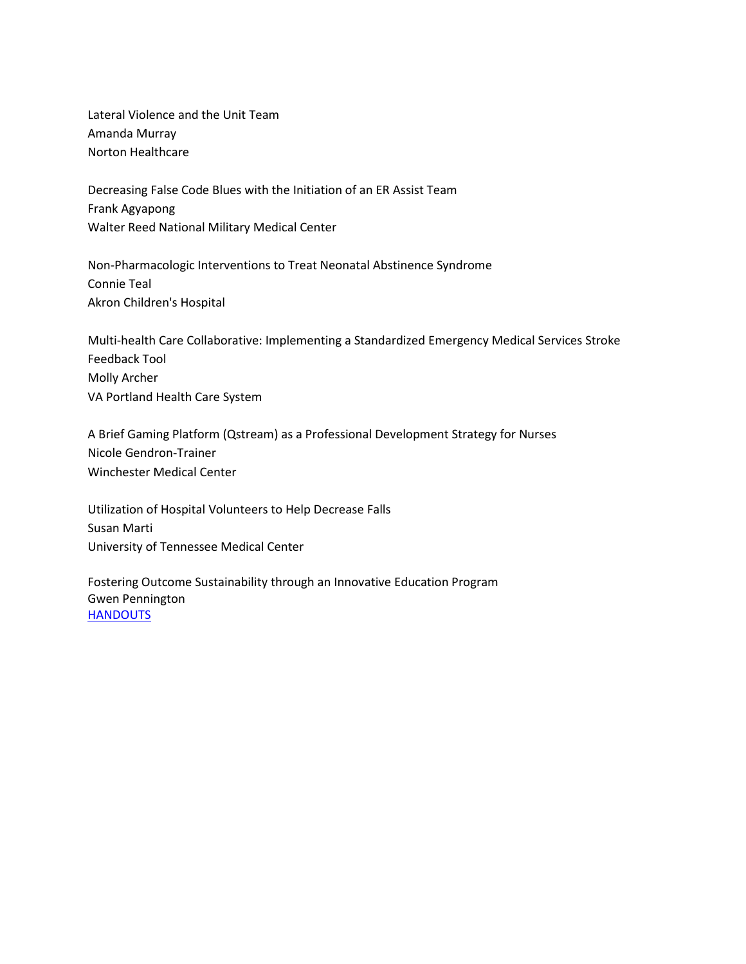Lateral Violence and the Unit Team Amanda Murray Norton Healthcare

Decreasing False Code Blues with the Initiation of an ER Assist Team Frank Agyapong Walter Reed National Military Medical Center

Non-Pharmacologic Interventions to Treat Neonatal Abstinence Syndrome Connie Teal Akron Children's Hospital

Multi-health Care Collaborative: Implementing a Standardized Emergency Medical Services Stroke Feedback Tool Molly Archer VA Portland Health Care System

A Brief Gaming Platform (Qstream) as a Professional Development Strategy for Nurses Nicole Gendron-Trainer Winchester Medical Center

Utilization of Hospital Volunteers to Help Decrease Falls Susan Marti University of Tennessee Medical Center

Fostering Outcome Sustainability through an Innovative Education Program Gwen Pennington **[HANDOUTS](https://www.dropbox.com/s/8cxotbkci06eflt/P45%20-%20Pennington%2C%20Gwen.pptx?dl=0)**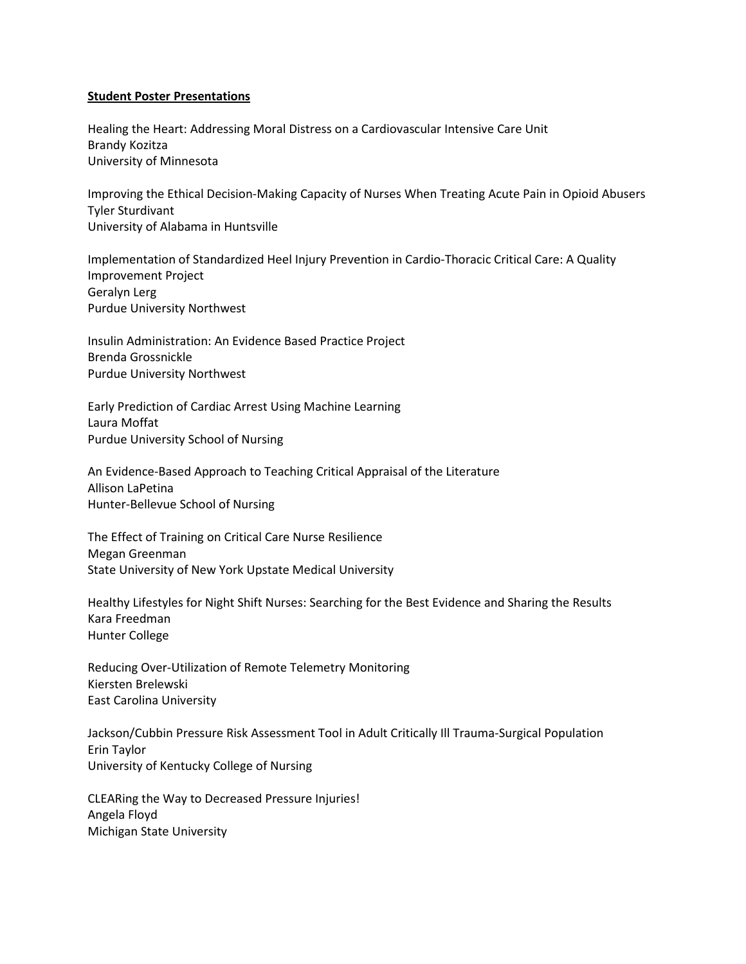#### **Student Poster Presentations**

Healing the Heart: Addressing Moral Distress on a Cardiovascular Intensive Care Unit Brandy Kozitza University of Minnesota

Improving the Ethical Decision-Making Capacity of Nurses When Treating Acute Pain in Opioid Abusers Tyler Sturdivant University of Alabama in Huntsville

Implementation of Standardized Heel Injury Prevention in Cardio-Thoracic Critical Care: A Quality Improvement Project Geralyn Lerg Purdue University Northwest

Insulin Administration: An Evidence Based Practice Project Brenda Grossnickle Purdue University Northwest

Early Prediction of Cardiac Arrest Using Machine Learning Laura Moffat Purdue University School of Nursing

An Evidence-Based Approach to Teaching Critical Appraisal of the Literature Allison LaPetina Hunter-Bellevue School of Nursing

The Effect of Training on Critical Care Nurse Resilience Megan Greenman State University of New York Upstate Medical University

Healthy Lifestyles for Night Shift Nurses: Searching for the Best Evidence and Sharing the Results Kara Freedman Hunter College

Reducing Over-Utilization of Remote Telemetry Monitoring Kiersten Brelewski East Carolina University

Jackson/Cubbin Pressure Risk Assessment Tool in Adult Critically Ill Trauma-Surgical Population Erin Taylor University of Kentucky College of Nursing

CLEARing the Way to Decreased Pressure Injuries! Angela Floyd Michigan State University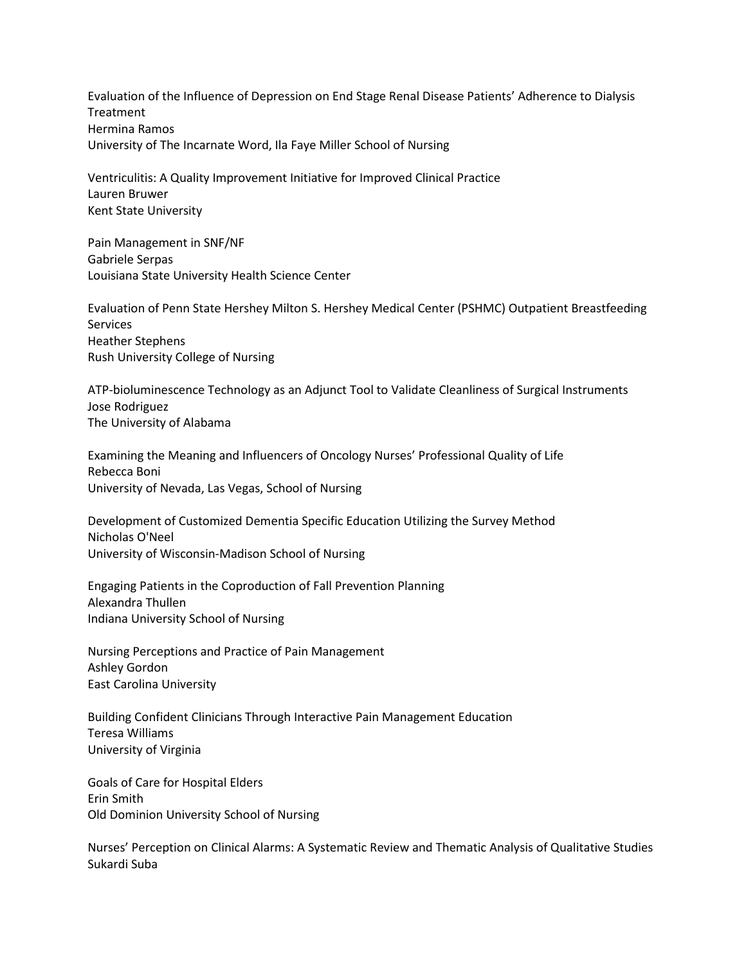Evaluation of the Influence of Depression on End Stage Renal Disease Patients' Adherence to Dialysis **Treatment** Hermina Ramos University of The Incarnate Word, Ila Faye Miller School of Nursing

Ventriculitis: A Quality Improvement Initiative for Improved Clinical Practice Lauren Bruwer Kent State University

Pain Management in SNF/NF Gabriele Serpas Louisiana State University Health Science Center

Evaluation of Penn State Hershey Milton S. Hershey Medical Center (PSHMC) Outpatient Breastfeeding Services Heather Stephens Rush University College of Nursing

ATP-bioluminescence Technology as an Adjunct Tool to Validate Cleanliness of Surgical Instruments Jose Rodriguez The University of Alabama

Examining the Meaning and Influencers of Oncology Nurses' Professional Quality of Life Rebecca Boni University of Nevada, Las Vegas, School of Nursing

Development of Customized Dementia Specific Education Utilizing the Survey Method Nicholas O'Neel University of Wisconsin-Madison School of Nursing

Engaging Patients in the Coproduction of Fall Prevention Planning Alexandra Thullen Indiana University School of Nursing

Nursing Perceptions and Practice of Pain Management Ashley Gordon East Carolina University

Building Confident Clinicians Through Interactive Pain Management Education Teresa Williams University of Virginia

Goals of Care for Hospital Elders Erin Smith Old Dominion University School of Nursing

Nurses' Perception on Clinical Alarms: A Systematic Review and Thematic Analysis of Qualitative Studies Sukardi Suba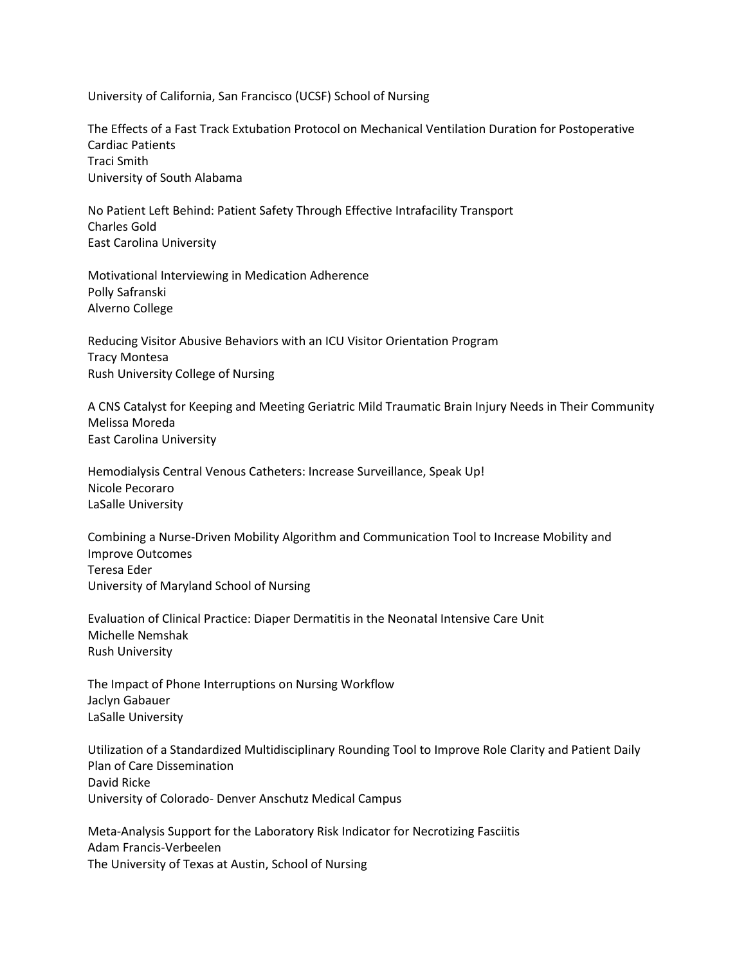University of California, San Francisco (UCSF) School of Nursing

The Effects of a Fast Track Extubation Protocol on Mechanical Ventilation Duration for Postoperative Cardiac Patients Traci Smith University of South Alabama

No Patient Left Behind: Patient Safety Through Effective Intrafacility Transport Charles Gold East Carolina University

Motivational Interviewing in Medication Adherence Polly Safranski Alverno College

Reducing Visitor Abusive Behaviors with an ICU Visitor Orientation Program Tracy Montesa Rush University College of Nursing

A CNS Catalyst for Keeping and Meeting Geriatric Mild Traumatic Brain Injury Needs in Their Community Melissa Moreda East Carolina University

Hemodialysis Central Venous Catheters: Increase Surveillance, Speak Up! Nicole Pecoraro LaSalle University

Combining a Nurse-Driven Mobility Algorithm and Communication Tool to Increase Mobility and Improve Outcomes Teresa Eder University of Maryland School of Nursing

Evaluation of Clinical Practice: Diaper Dermatitis in the Neonatal Intensive Care Unit Michelle Nemshak Rush University

The Impact of Phone Interruptions on Nursing Workflow Jaclyn Gabauer LaSalle University

Utilization of a Standardized Multidisciplinary Rounding Tool to Improve Role Clarity and Patient Daily Plan of Care Dissemination David Ricke University of Colorado- Denver Anschutz Medical Campus

Meta-Analysis Support for the Laboratory Risk Indicator for Necrotizing Fasciitis Adam Francis-Verbeelen The University of Texas at Austin, School of Nursing